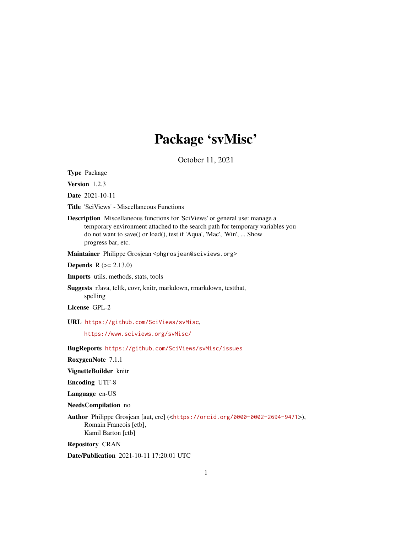# Package 'svMisc'

October 11, 2021

<span id="page-0-0"></span>Type Package

Version 1.2.3

Date 2021-10-11

Title 'SciViews' - Miscellaneous Functions

Description Miscellaneous functions for 'SciViews' or general use: manage a temporary environment attached to the search path for temporary variables you do not want to save() or load(), test if 'Aqua', 'Mac', 'Win', ... Show progress bar, etc.

Maintainer Philippe Grosjean <phgrosjean@sciviews.org>

**Depends**  $R (= 2.13.0)$ 

Imports utils, methods, stats, tools

Suggests rJava, tcltk, covr, knitr, markdown, rmarkdown, testthat, spelling

License GPL-2

URL <https://github.com/SciViews/svMisc>,

<https://www.sciviews.org/svMisc/>

BugReports <https://github.com/SciViews/svMisc/issues>

RoxygenNote 7.1.1

VignetteBuilder knitr

Encoding UTF-8

Language en-US

NeedsCompilation no

Author Philippe Grosjean [aut, cre] (<<https://orcid.org/0000-0002-2694-9471>>), Romain Francois [ctb], Kamil Barton [ctb]

Repository CRAN

Date/Publication 2021-10-11 17:20:01 UTC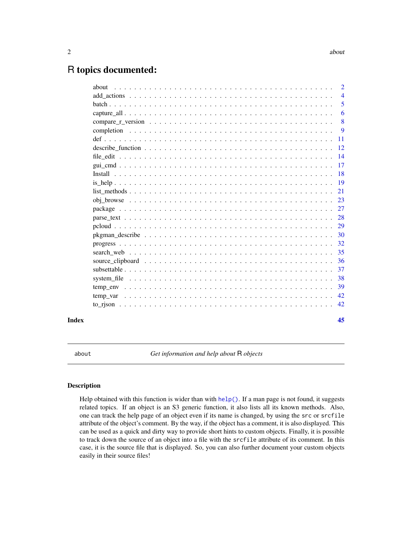# <span id="page-1-0"></span>R topics documented:

|       | $\overline{2}$ |
|-------|----------------|
|       | $\overline{4}$ |
|       | 5              |
|       | 6              |
|       | 8              |
|       | -9             |
|       | - 11           |
|       |                |
|       |                |
|       |                |
|       |                |
|       |                |
|       |                |
|       |                |
|       |                |
|       |                |
|       |                |
|       |                |
|       |                |
|       |                |
|       |                |
|       |                |
|       |                |
|       |                |
|       |                |
|       |                |
|       |                |
| Index | 45             |
|       |                |

about *Get information and help about* R *objects*

# Description

Help obtained with this function is wider than with  $help()$ . If a man page is not found, it suggests related topics. If an object is an S3 generic function, it also lists all its known methods. Also, one can track the help page of an object even if its name is changed, by using the src or srcfile attribute of the object's comment. By the way, if the object has a comment, it is also displayed. This can be used as a quick and dirty way to provide short hints to custom objects. Finally, it is possible to track down the source of an object into a file with the srcfile attribute of its comment. In this case, it is the source file that is displayed. So, you can also further document your custom objects easily in their source files!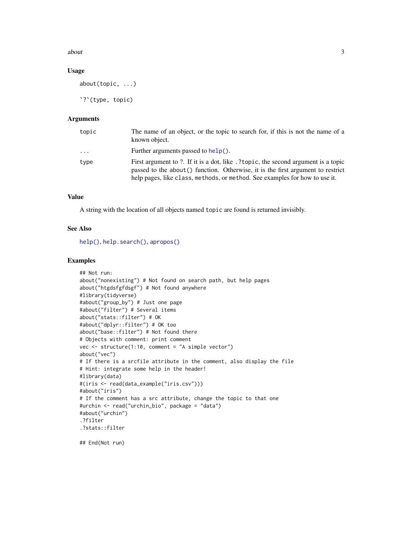#### <span id="page-2-0"></span> $a$ bout  $3$

#### Usage

about(topic, ...)

`?`(type, topic)

# Arguments

| topic    | The name of an object, or the topic to search for, if this is not the name of a<br>known object.                                                                                                                                                     |
|----------|------------------------------------------------------------------------------------------------------------------------------------------------------------------------------------------------------------------------------------------------------|
| $\cdots$ | Further arguments passed to help().                                                                                                                                                                                                                  |
| type     | First argument to ?. If it is a dot, like .?topic, the second argument is a topic<br>passed to the about () function. Otherwise, it is the first argument to restrict<br>help pages, like class, methods, or method. See examples for how to use it. |

# Value

A string with the location of all objects named topic are found is returned invisibly.

#### See Also

[help\(\)](#page-0-0), [help.search\(\)](#page-0-0), [apropos\(\)](#page-0-0)

```
## Not run:
about("nonexisting") # Not found on search path, but help pages
about("htgdsfgfdsgf") # Not found anywhere
#library(tidyverse)
#about("group_by") # Just one page
#about("filter") # Several items
about("stats::filter") # OK
#about("dplyr::filter") # OK too
about("base::filter") # Not found there
# Objects with comment: print comment
vec <- structure(1:10, comment = "A simple vector")
about("vec")
# If there is a srcfile attribute in the comment, also display the file
# Hint: integrate some help in the header!
#library(data)
#(iris <- read(data_example("iris.csv")))
#about("iris")
# If the comment has a src attribute, change the topic to that one
#urchin <- read("urchin_bio", package = "data")
#about("urchin")
.?filter
.?stats::filter
## End(Not run)
```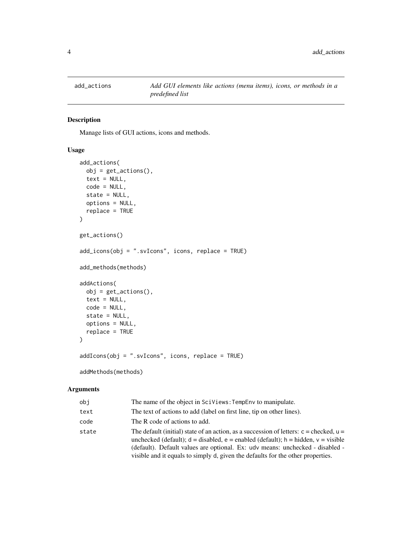<span id="page-3-0"></span>

#### Description

Manage lists of GUI actions, icons and methods.

# Usage

```
add_actions(
  obj = get\_actions(),
  text = NULL,code = NULL,
  state = NULL,
 options = NULL,
  replace = TRUE
\mathcal{L}get_actions()
add_icons(obj = ".svIcons", icons, replace = TRUE)
add_methods(methods)
addActions(
  obj = get\_actions(),
  text = NULL,code = NULL,
  state = NULL,
 options = NULL,
  replace = TRUE
)
addIcons(obj = ".svIcons", icons, replace = TRUE)
```

```
addMethods(methods)
```
# Arguments

| obi   | The name of the object in SciViews: TempEny to manipulate.                                                                                                                                                                                                                                                                                                  |
|-------|-------------------------------------------------------------------------------------------------------------------------------------------------------------------------------------------------------------------------------------------------------------------------------------------------------------------------------------------------------------|
| text  | The text of actions to add (label on first line, tip on other lines).                                                                                                                                                                                                                                                                                       |
| code  | The R code of actions to add.                                                                                                                                                                                                                                                                                                                               |
| state | The default (initial) state of an action, as a succession of letters: $c =$ checked, $u =$<br>unchecked (default); $d =$ disabled, $e =$ enabled (default); $h =$ hidden, $v =$ visible<br>(default). Default values are optional. Ex: udv means: unchecked - disabled -<br>visible and it equals to simply d, given the defaults for the other properties. |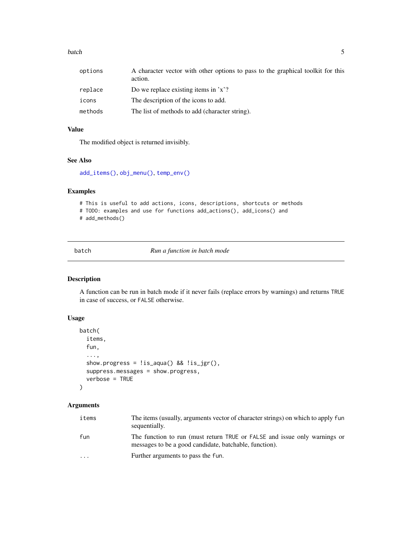#### <span id="page-4-0"></span>batch 5 and 5 and 5 and 5 and 5 and 5 and 5 and 5 and 5 and 5 and 5 and 5 and 5 and 5 and 5 and 5 and 5 and 5 and 5 and 5 and 5 and 5 and 5 and 5 and 5 and 5 and 5 and 5 and 5 and 5 and 5 and 5 and 5 and 5 and 5 and 5 and

| options | A character vector with other options to pass to the graphical toolkit for this<br>action. |
|---------|--------------------------------------------------------------------------------------------|
| replace | Do we replace existing items in $x$ ?                                                      |
| icons   | The description of the icons to add.                                                       |
| methods | The list of methods to add (character string).                                             |

# Value

The modified object is returned invisibly.

# See Also

[add\\_items\(\)](#page-38-1), [obj\\_menu\(\)](#page-22-1), [temp\\_env\(\)](#page-38-2)

# Examples

```
# This is useful to add actions, icons, descriptions, shortcuts or methods
# TODO: examples and use for functions add_actions(), add_icons() and
# add_methods()
```
<span id="page-4-1"></span>batch *Run a function in batch mode*

# Description

A function can be run in batch mode if it never fails (replace errors by warnings) and returns TRUE in case of success, or FALSE otherwise.

# Usage

```
batch(
  items,
  fun,
  ...,
  show.progress = !is_aqua() && !is_jgr(),
  suppress.messages = show.progress,
  verbose = TRUE
)
```
# Arguments

| items                   | The items (usually, arguments vector of character strings) on which to apply fun<br>sequentially.                                   |
|-------------------------|-------------------------------------------------------------------------------------------------------------------------------------|
| fun                     | The function to run (must return TRUE or FALSE and issue only warnings or<br>messages to be a good candidate, batchable, function). |
| $\cdot$ $\cdot$ $\cdot$ | Further arguments to pass the fun.                                                                                                  |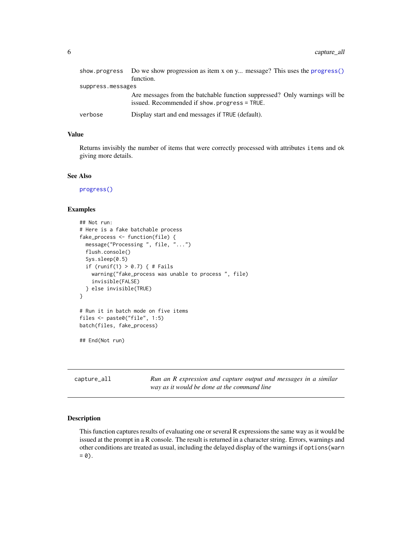<span id="page-5-0"></span>

|                   | show progress Do we show progression as item x on y message? This uses the progress ()                                     |
|-------------------|----------------------------------------------------------------------------------------------------------------------------|
|                   | function.                                                                                                                  |
| suppress.messages |                                                                                                                            |
|                   | Are messages from the batchable function suppressed? Only warnings will be<br>issued. Recommended if show.progress = TRUE. |
| verbose           | Display start and end messages if TRUE (default).                                                                          |

# Value

Returns invisibly the number of items that were correctly processed with attributes items and ok giving more details.

# See Also

[progress\(\)](#page-31-1)

#### Examples

```
## Not run:
# Here is a fake batchable process
fake_process <- function(file) {
  message("Processing ", file, "...")
  flush.console()
  Sys.sleep(0.5)
  if (runif(1) > 0.7) { # Fails
    warning("fake_process was unable to process ", file)
    invisible(FALSE)
  } else invisible(TRUE)
}
# Run it in batch mode on five items
files <- paste0("file", 1:5)
batch(files, fake_process)
## End(Not run)
```
<span id="page-5-1"></span>capture\_all *Run an R expression and capture output and messages in a similar way as it would be done at the command line*

# Description

This function captures results of evaluating one or several R expressions the same way as it would be issued at the prompt in a R console. The result is returned in a character string. Errors, warnings and other conditions are treated as usual, including the delayed display of the warnings if options(warn  $= 0$ ).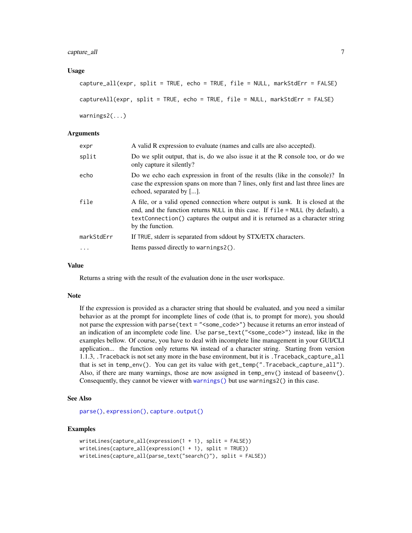<span id="page-6-0"></span>capture\_all 7

#### Usage

```
capture_all(expr, split = TRUE, echo = TRUE, file = NULL, markStdErr = FALSE)
captureAll(expr, split = TRUE, echo = TRUE, file = NULL, markStdErr = FALSE)
warnings2(...)
```
### Arguments

| expr       | A valid R expression to evaluate (names and calls are also accepted).                                                                                                                                                                                                  |
|------------|------------------------------------------------------------------------------------------------------------------------------------------------------------------------------------------------------------------------------------------------------------------------|
| split      | Do we split output, that is, do we also issue it at the R console too, or do we<br>only capture it silently?                                                                                                                                                           |
| echo       | Do we echo each expression in front of the results (like in the console)? In<br>case the expression spans on more than 7 lines, only first and last three lines are<br>echoed, separated by [].                                                                        |
| file       | A file, or a valid opened connection where output is sunk. It is closed at the<br>end, and the function returns NULL in this case. If file = NULL (by default), a<br>textConnection() captures the output and it is returned as a character string<br>by the function. |
| markStdErr | If TRUE, stderr is separated from sddout by STX/ETX characters.                                                                                                                                                                                                        |
|            | Items passed directly to warnings2().                                                                                                                                                                                                                                  |

#### Value

Returns a string with the result of the evaluation done in the user workspace.

#### Note

If the expression is provided as a character string that should be evaluated, and you need a similar behavior as at the prompt for incomplete lines of code (that is, to prompt for more), you should not parse the expression with parse(text = "<some\_code>") because it returns an error instead of an indication of an incomplete code line. Use parse\_text("<some\_code>") instead, like in the examples bellow. Of course, you have to deal with incomplete line management in your GUI/CLI application... the function only returns NA instead of a character string. Starting from version 1.1.3, .Traceback is not set any more in the base environment, but it is .Traceback\_capture\_all that is set in temp\_env(). You can get its value with get\_temp(".Traceback\_capture\_all"). Also, if there are many warnings, those are now assigned in temp\_env() instead of baseenv(). Consequently, they cannot be viewer with [warnings\(\)](#page-0-0) but use warnings2() in this case.

# See Also

[parse\(\)](#page-0-0), [expression\(\)](#page-0-0), [capture.output\(\)](#page-0-0)

```
writeLines(capture_all(expression(1 + 1), split = FALSE))
writeLines(capture_all(expression(1 + 1), split = TRUE))writeLines(capture_all(parse_text("search()"), split = FALSE))
```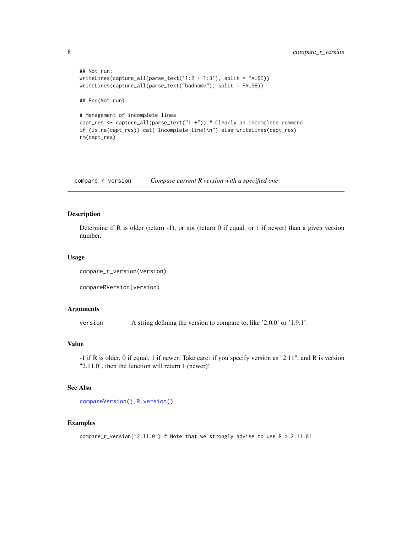```
## Not run:
writeLines(capture_all(parse_text('1:2 + 1:3'), split = FALSE))
writeLines(capture_all(parse_text("badname"), split = FALSE))
## End(Not run)
# Management of incomplete lines
capt_res <- capture_all(parse_text("1 +")) # Clearly an incomplete command
if (is.na(capt_res)) cat("Incomplete line!\n") else writeLines(capt_res)
rm(capt_res)
```
compare\_r\_version *Compare current R version with a specified one*

#### Description

Determine if R is older (return -1), or not (return 0 if equal, or 1 if newer) than a given version number.

#### Usage

```
compare_r_version(version)
```
compareRVersion(version)

#### Arguments

version A string defining the version to compare to, like '2.0.0' or '1.9.1'.

# Value

-1 if R is older, 0 if equal, 1 if newer. Take care: if you specify version as "2.11", and R is version "2.11.0", then the function will return 1 (newer)!

#### See Also

```
compareVersion(), R.version()
```

```
compare_r_version("2.11.0") # Note that we strongly advise to use R > 2.11.0!
```
<span id="page-7-0"></span>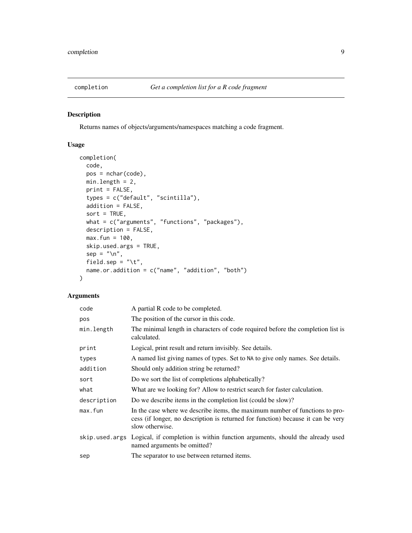<span id="page-8-1"></span><span id="page-8-0"></span>

# Description

Returns names of objects/arguments/namespaces matching a code fragment.

# Usage

```
completion(
 code,
 pos = nchar(code),
 min.length = 2,
 print = FALSE,
  types = c("default", "scintilla"),
  addition = FALSE,
  sort = TRUE,what = c("arguments", "functions", "packages"),
  description = FALSE,
 max.fun = 100,skip.used.args = TRUE,
  sep = "n",field.sep = "\t t",name.or.addition = c("name", "addition", "both")
\mathcal{L}
```
# Arguments

| code           | A partial R code to be completed.                                                                                                                                                   |
|----------------|-------------------------------------------------------------------------------------------------------------------------------------------------------------------------------------|
| pos            | The position of the cursor in this code.                                                                                                                                            |
| min.length     | The minimal length in characters of code required before the completion list is<br>calculated.                                                                                      |
| print          | Logical, print result and return invisibly. See details.                                                                                                                            |
| types          | A named list giving names of types. Set to NA to give only names. See details.                                                                                                      |
| addition       | Should only addition string be returned?                                                                                                                                            |
| sort           | Do we sort the list of completions alphabetically?                                                                                                                                  |
| what           | What are we looking for? Allow to restrict search for faster calculation.                                                                                                           |
| description    | Do we describe items in the completion list (could be slow)?                                                                                                                        |
| max.fun        | In the case where we describe items, the maximum number of functions to pro-<br>cess (if longer, no description is returned for function) because it can be very<br>slow otherwise. |
| skip.used.args | Logical, if completion is within function arguments, should the already used<br>named arguments be omitted?                                                                         |
| sep            | The separator to use between returned items.                                                                                                                                        |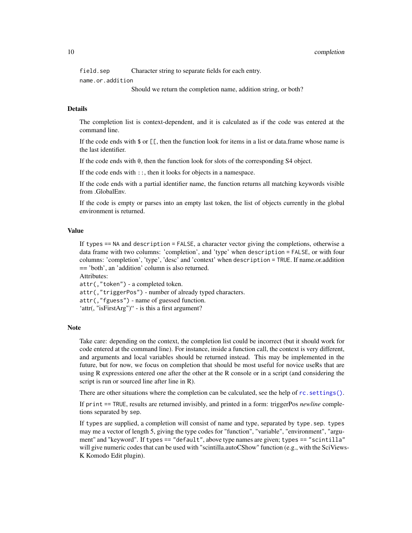<span id="page-9-0"></span>field.sep Character string to separate fields for each entry.

name.or.addition

Should we return the completion name, addition string, or both?

#### Details

The completion list is context-dependent, and it is calculated as if the code was entered at the command line.

If the code ends with  $\oint$  or  $[\Gamma]$ , then the function look for items in a list or data.frame whose name is the last identifier.

If the code ends with @, then the function look for slots of the corresponding S4 object.

If the code ends with ::, then it looks for objects in a namespace.

If the code ends with a partial identifier name, the function returns all matching keywords visible from .GlobalEnv.

If the code is empty or parses into an empty last token, the list of objects currently in the global environment is returned.

#### Value

If types == NA and description = FALSE, a character vector giving the completions, otherwise a data frame with two columns: 'completion', and 'type' when description = FALSE, or with four columns: 'completion', 'type', 'desc' and 'context' when description = TRUE. If name.or.addition == 'both', an 'addition' column is also returned.

Attributes:

attr(,"token") - a completed token.

attr(,"triggerPos") - number of already typed characters.

attr(,"fguess") - name of guessed function.

'attr(, "isFirstArg")" - is this a first argument?

#### Note

Take care: depending on the context, the completion list could be incorrect (but it should work for code entered at the command line). For instance, inside a function call, the context is very different, and arguments and local variables should be returned instead. This may be implemented in the future, but for now, we focus on completion that should be most useful for novice useRs that are using R expressions entered one after the other at the R console or in a script (and considering the script is run or sourced line after line in R).

There are other situations where the completion can be calculated, see the help of rc. settings().

If print == TRUE, results are returned invisibly, and printed in a form: triggerPos *newline* completions separated by sep.

If types are supplied, a completion will consist of name and type, separated by type.sep. types may me a vector of length 5, giving the type codes for "function", "variable", "environment", "argument" and "keyword". If types == "default", above type names are given; types == "scintilla" will give numeric codes that can be used with "scintilla.autoCShow" function (e.g., with the SciViews-K Komodo Edit plugin).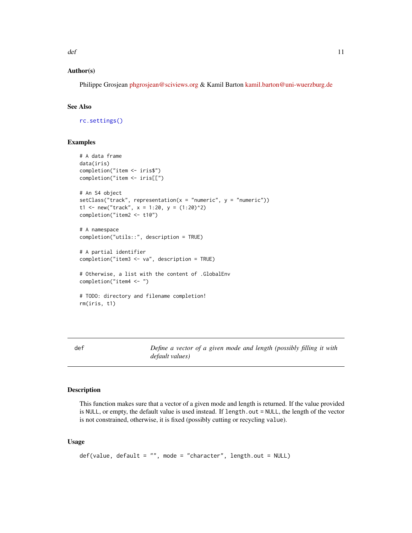<span id="page-10-0"></span> $\det$  11

# Author(s)

Philippe Grosjean [phgrosjean@sciviews.org](mailto:phgrosjean@sciviews.org) & Kamil Barton [kamil.barton@uni-wuerzburg.de](mailto:kamil.barton@uni-wuerzburg.de)

#### See Also

[rc.settings\(\)](#page-0-0)

#### Examples

```
# A data frame
data(iris)
completion("item <- iris$")
completion("item <- iris[[")
# An S4 object
setClass("track", representation(x = "numeric", y = "numeric"))
t1 <- new("track", x = 1:20, y = (1:20)^2)
completion("item2 <- t1@")
# A namespace
completion("utils::", description = TRUE)
# A partial identifier
completion("item3 <- va", description = TRUE)
# Otherwise, a list with the content of .GlobalEnv
completion("item4 <- ")
# TODO: directory and filename completion!
rm(iris, t1)
```
def *Define a vector of a given mode and length (possibly filling it with default values)*

#### Description

This function makes sure that a vector of a given mode and length is returned. If the value provided is NULL, or empty, the default value is used instead. If length.out = NULL, the length of the vector is not constrained, otherwise, it is fixed (possibly cutting or recycling value).

## Usage

```
def(value, default = "", mode = "character", length.out = NULL)
```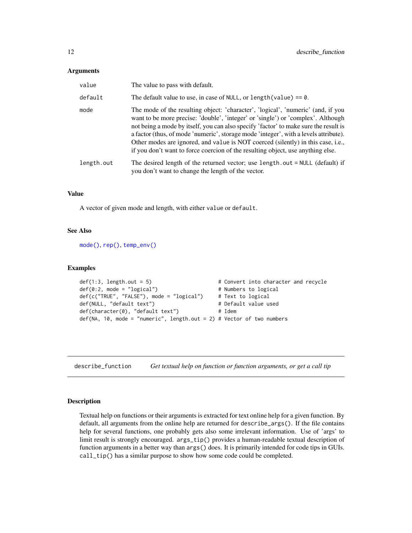#### <span id="page-11-0"></span>**Arguments**

| value      | The value to pass with default.                                                                                                                                                                                                                                                                                                                                                                                                                                                                                             |
|------------|-----------------------------------------------------------------------------------------------------------------------------------------------------------------------------------------------------------------------------------------------------------------------------------------------------------------------------------------------------------------------------------------------------------------------------------------------------------------------------------------------------------------------------|
| default    | The default value to use, in case of NULL, or length (value) $== 0$ .                                                                                                                                                                                                                                                                                                                                                                                                                                                       |
| mode       | The mode of the resulting object: 'character', 'logical', 'numeric' (and, if you<br>want to be more precise: 'double', 'integer' or 'single') or 'complex'. Although<br>not being a mode by itself, you can also specify 'factor' to make sure the result is<br>a factor (thus, of mode 'numeric', storage mode 'integer', with a levels attribute).<br>Other modes are ignored, and value is NOT coerced (silently) in this case, i.e.,<br>if you don't want to force coercion of the resulting object, use anything else. |
| length.out | The desired length of the returned vector; use length.out = NULL (default) if<br>you don't want to change the length of the vector.                                                                                                                                                                                                                                                                                                                                                                                         |

#### Value

A vector of given mode and length, with either value or default.

#### See Also

[mode\(\)](#page-0-0), [rep\(\)](#page-0-0), [temp\\_env\(\)](#page-38-2)

#### Examples

```
def(1:3, length.out = 5) # Convert into character and recycle
def(0:2, mode = "logical") # Numbers to logical
def(c("TRUE", "FALSE"), mode = "logical") # Text to logical
def(NULL, "default text") # Default value used
def(character(0), "default text") # Idem
def(NA, 10, mode = "numeric", length.out = 2) # Vector of two numbers
```
describe\_function *Get textual help on function or function arguments, or get a call tip*

# <span id="page-11-1"></span>Description

Textual help on functions or their arguments is extracted for text online help for a given function. By default, all arguments from the online help are returned for describe\_args(). If the file contains help for several functions, one probably gets also some irrelevant information. Use of 'args' to limit result is strongly encouraged. args\_tip() provides a human-readable textual description of function arguments in a better way than args() does. It is primarily intended for code tips in GUIs. call\_tip() has a similar purpose to show how some code could be completed.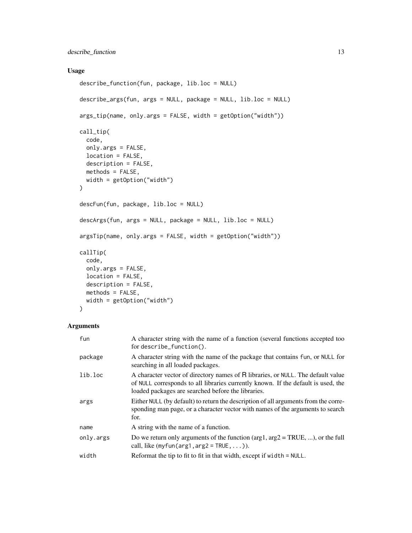# Usage

```
describe_function(fun, package, lib.loc = NULL)
describe_args(fun, args = NULL, package = NULL, lib.loc = NULL)
args_tip(name, only.args = FALSE, width = getOption("width"))
call_tip(
  code,
 only.args = FALSE,
 location = FALSE,
 description = FALSE,
 methods = FALSE,width = getOption("width")
)
descFun(fun, package, lib.loc = NULL)
descArgs(fun, args = NULL, package = NULL, lib.loc = NULL)
argsTip(name, only.args = FALSE, width = getOption("width"))
callTip(
  code,
 only.args = FALSE,
 location = FALSE,
 description = FALSE,
 methods = FALSE,
 width = getOption("width")
\mathcal{L}
```
# Arguments

| fun       | A character string with the name of a function (several functions accepted too<br>for describe_function().                                                                                                                  |
|-----------|-----------------------------------------------------------------------------------------------------------------------------------------------------------------------------------------------------------------------------|
| package   | A character string with the name of the package that contains fun, or NULL for<br>searching in all loaded packages.                                                                                                         |
| lib.loc   | A character vector of directory names of R libraries, or NULL. The default value<br>of NULL corresponds to all libraries currently known. If the default is used, the<br>loaded packages are searched before the libraries. |
| args      | Either NULL (by default) to return the description of all arguments from the corre-<br>sponding man page, or a character vector with names of the arguments to search<br>for.                                               |
| name      | A string with the name of a function.                                                                                                                                                                                       |
| only.args | Do we return only arguments of the function ( $arg1, arg2 = TRUE, $ ), or the full<br>call, like $(myfun(arg1,arg2 = TRUE, \dots).$                                                                                         |
| width     | Reformat the tip to fit to fit in that width, except if width $=$ NULL.                                                                                                                                                     |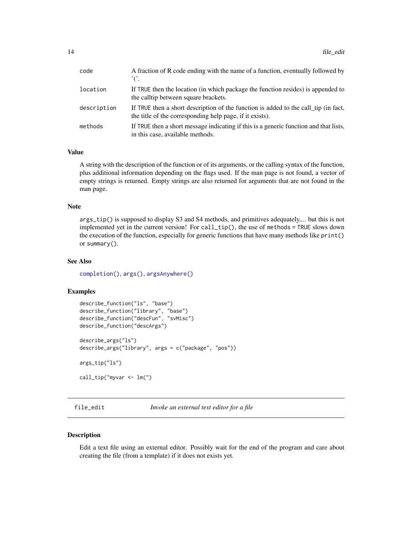<span id="page-13-0"></span>

| code        | A fraction of R code ending with the name of a function, eventually followed by<br>$^{\prime}$ ( $^{\prime}$ .                                  |
|-------------|-------------------------------------------------------------------------------------------------------------------------------------------------|
| location    | If TRUE then the location (in which package the function resides) is appended to<br>the calltip between square brackets.                        |
| description | If TRUE then a short description of the function is added to the call tip (in fact,<br>the title of the corresponding help page, if it exists). |
| methods     | If TRUE then a short message indicating if this is a generic function and that lists,<br>in this case, available methods.                       |

# Value

A string with the description of the function or of its arguments, or the calling syntax of the function, plus additional information depending on the flags used. If the man page is not found, a vector of empty strings is returned. Empty strings are also returned for arguments that are not found in the man page.

# Note

args\_tip() is supposed to display S3 and S4 methods, and primitives adequately,... but this is not implemented yet in the current version! For  $call\_tip()$ , the use of methods = TRUE slows down the execution of the function, especially for generic functions that have many methods like print() or summary().

#### See Also

[completion\(\)](#page-8-1), [args\(\)](#page-0-0), [argsAnywhere\(\)](#page-0-0)

#### Examples

```
describe_function("ls", "base")
describe_function("library", "base")
describe_function("descFun", "svMisc")
describe_function("descArgs")
describe_args("ls")
describe_args("library", args = c("package", "pos"))
args_tip("ls")
call_tip("myvar <- lm(")
```
<span id="page-13-1"></span>file\_edit *Invoke an external text editor for a file*

#### Description

Edit a text file using an external editor. Possibly wait for the end of the program and care about creating the file (from a template) if it does not exists yet.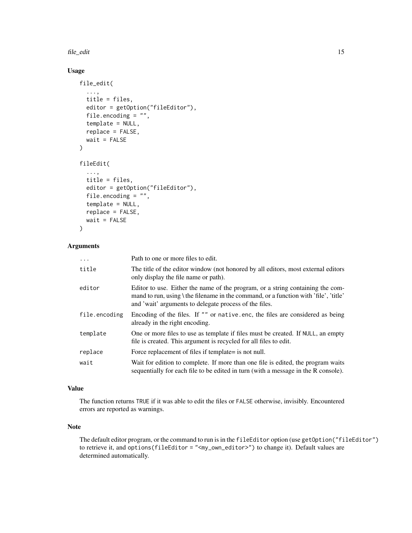file\_edit 15

# Usage

```
file_edit(
  ...,
  title = files,
  editor = getOption("fileEditor"),
  file.encoding = "",
  template = NULL,
  replace = FALSE,
 wait = FALSE\lambdafileEdit(
  ...,
  title = files,
  editor = getOption("fileEditor"),
  file.encoding = "",
  template = NULL,
  replace = FALSE,
 wait = FALSE)
```
# Arguments

| $\cdots$      | Path to one or more files to edit.                                                                                                                                                                                                      |
|---------------|-----------------------------------------------------------------------------------------------------------------------------------------------------------------------------------------------------------------------------------------|
| title         | The title of the editor window (not honored by all editors, most external editors<br>only display the file name or path).                                                                                                               |
| editor        | Editor to use. Either the name of the program, or a string containing the com-<br>mand to run, using $\theta$ the filename in the command, or a function with 'file', 'title'<br>and 'wait' arguments to delegate process of the files. |
| file.encoding | Encoding of the files. If "" or native enc, the files are considered as being<br>already in the right encoding.                                                                                                                         |
| template      | One or more files to use as template if files must be created. If NULL, an empty<br>file is created. This argument is recycled for all files to edit.                                                                                   |
| replace       | Force replacement of files if template= is not null.                                                                                                                                                                                    |
| wait          | Wait for edition to complete. If more than one file is edited, the program waits<br>sequentially for each file to be edited in turn (with a message in the R console).                                                                  |

# Value

The function returns TRUE if it was able to edit the files or FALSE otherwise, invisibly. Encountered errors are reported as warnings.

# Note

The default editor program, or the command to run is in the fileEditor option (use getOption("fileEditor") to retrieve it, and options(fileEditor = "<my\_own\_editor>") to change it). Default values are determined automatically.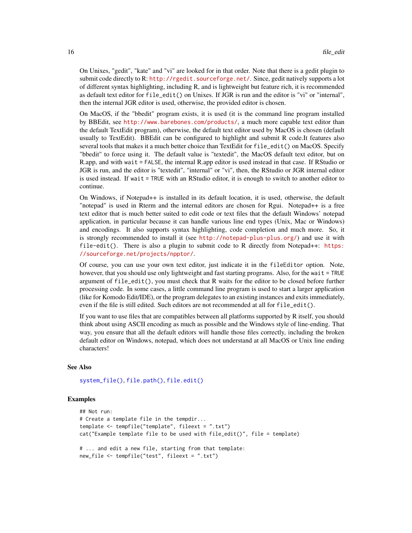<span id="page-15-0"></span>On Unixes, "gedit", "kate" and "vi" are looked for in that order. Note that there is a gedit plugin to submit code directly to R: <http://rgedit.sourceforge.net/>. Since, gedit natively supports a lot of different syntax highlighting, including R, and is lightweight but feature rich, it is recommended as default text editor for file\_edit() on Unixes. If JGR is run and the editor is "vi" or "internal", then the internal JGR editor is used, otherwise, the provided editor is chosen.

On MacOS, if the "bbedit" program exists, it is used (it is the command line program installed by BBEdit, see <http://www.barebones.com/products/>, a much more capable text editor than the default TextEdit program), otherwise, the default text editor used by MacOS is chosen (default usually to TextEdit). BBEdit can be configured to highlight and submit R code.It features also several tools that makes it a much better choice than TextEdit for file\_edit() on MacOS. Specify "bbedit" to force using it. The default value is "textedit", the MacOS default text editor, but on R.app, and with wait = FALSE, the internal R.app editor is used instead in that case. If RStudio or JGR is run, and the editor is "textedit", "internal" or "vi", then, the RStudio or JGR internal editor is used instead. If wait = TRUE with an RStudio editor, it is enough to switch to another editor to continue.

On Windows, if Notepad++ is installed in its default location, it is used, otherwise, the default "notepad" is used in Rterm and the internal editors are chosen for Rgui. Notepad++ is a free text editor that is much better suited to edit code or text files that the default Windows' notepad application, in particular because it can handle various line end types (Unix, Mac or Windows) and encodings. It also supports syntax highlighting, code completion and much more. So, it is strongly recommended to install it (see <http://notepad-plus-plus.org/>) and use it with  $file-edit()$ . There is also a plugin to submit code to R directly from Notepad $++$ : [https:](https://sourceforge.net/projects/npptor/) [//sourceforge.net/projects/npptor/](https://sourceforge.net/projects/npptor/).

Of course, you can use your own text editor, just indicate it in the fileEditor option. Note, however, that you should use only lightweight and fast starting programs. Also, for the wait = TRUE argument of file\_edit(), you must check that R waits for the editor to be closed before further processing code. In some cases, a little command line program is used to start a larger application (like for Komodo Edit/IDE), or the program delegates to an existing instances and exits immediately, even if the file is still edited. Such editors are not recommended at all for file\_edit().

If you want to use files that are compatibles between all platforms supported by R itself, you should think about using ASCII encoding as much as possible and the Windows style of line-ending. That way, you ensure that all the default editors will handle those files correctly, including the broken default editor on Windows, notepad, which does not understand at all MacOS or Unix line ending characters!

#### See Also

[system\\_file\(\)](#page-37-1), [file.path\(\)](#page-0-0), [file.edit\(\)](#page-0-0)

```
## Not run:
# Create a template file in the tempdir...
template <- tempfile("template", fileext = ".txt")
cat("Example template file to be used with file_edit()", file = template)
# ... and edit a new file, starting from that template:
new_file <- tempfile("test", fileext = ".txt")
```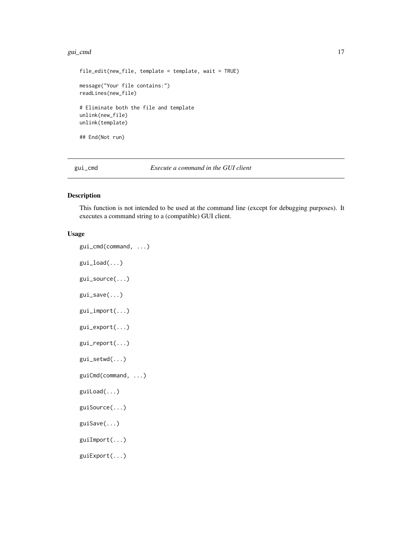#### <span id="page-16-0"></span>gui\_cmd 17

```
file_edit(new_file, template = template, wait = TRUE)
message("Your file contains:")
readLines(new_file)
# Eliminate both the file and template
unlink(new_file)
unlink(template)
## End(Not run)
```
gui\_cmd *Execute a command in the GUI client*

# Description

This function is not intended to be used at the command line (except for debugging purposes). It executes a command string to a (compatible) GUI client.

# Usage

```
gui_cmd(command, ...)
gui_load(...)
gui_source(...)
gui_save(...)
gui_import(...)
gui_export(...)
gui_report(...)
gui_setwd(...)
guiCmd(command, ...)
guiLoad(...)
guiSource(...)
guiSave(...)
guiImport(...)
guiExport(...)
```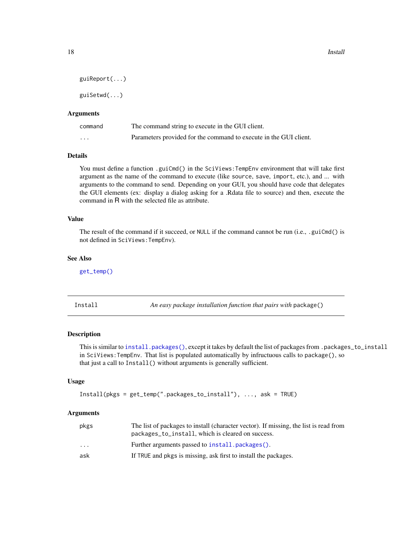```
guiReport(...)
```
guiSetwd(...)

### Arguments

| command  | The command string to execute in the GUI client.                  |
|----------|-------------------------------------------------------------------|
| $\cdots$ | Parameters provided for the command to execute in the GUI client. |

# Details

You must define a function .guiCmd() in the SciViews: TempEnv environment that will take first argument as the name of the command to execute (like source, save, import, etc.), and ... with arguments to the command to send. Depending on your GUI, you should have code that delegates the GUI elements (ex: display a dialog asking for a .Rdata file to source) and then, execute the command in R with the selected file as attribute.

# Value

The result of the command if it succeed, or NULL if the command cannot be run (i.e., .guiCmd() is not defined in SciViews:TempEnv).

#### See Also

[get\\_temp\(\)](#page-38-1)

<span id="page-17-1"></span>Install *An easy package installation function that pairs with* package()

# Description

This is similar to [install.packages\(\)](#page-0-0), except it takes by default the list of packages from .packages\_to\_install in SciViews:TempEnv. That list is populated automatically by infructuous calls to package(), so that just a call to Install() without arguments is generally sufficient.

#### Usage

```
Install(pkgs = get_temp(".packages_to_install"), ..., ask = TRUE)
```
#### **Arguments**

| pkgs                    | The list of packages to install (character vector). If missing, the list is read from<br>packages_to_install, which is cleared on success. |
|-------------------------|--------------------------------------------------------------------------------------------------------------------------------------------|
| $\cdot$ $\cdot$ $\cdot$ | Further arguments passed to install.packages().                                                                                            |
| ask                     | If TRUE and pkgs is missing, ask first to install the packages.                                                                            |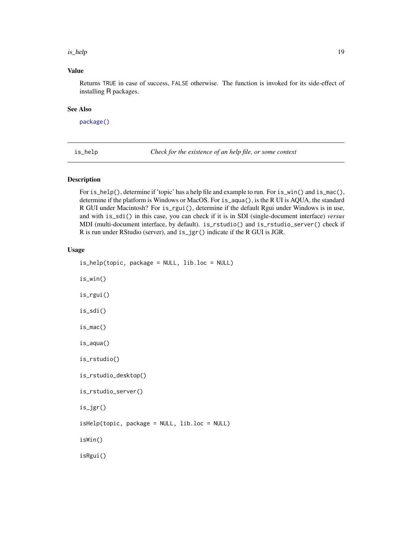#### <span id="page-18-0"></span>is\_help 19

# Value

Returns TRUE in case of success, FALSE otherwise. The function is invoked for its side-effect of installing R packages.

#### See Also

[package\(\)](#page-26-1)

is\_help *Check for the existence of an help file, or some context*

#### Description

For is\_help(), determine if 'topic' has a help file and example to run. For is\_win() and is\_mac(), determine if the platform is Windows or MacOS. For is\_aqua(), is the R UI is AQUA, the standard R GUI under Macintosh? For is\_rgui(), determine if the default Rgui under Windows is in use, and with is\_sdi() in this case, you can check if it is in SDI (single-document interface) *versus* MDI (multi-document interface, by default). is\_rstudio() and is\_rstudio\_server() check if R is run under RStudio (server), and is\_jgr() indicate if the R GUI is JGR.

#### Usage

```
is_help(topic, package = NULL, lib.loc = NULL)
is_win()
is_rgui()
is_sdi()
is_mac()
is_aqua()
is_rstudio()
is_rstudio_desktop()
is_rstudio_server()
is_jgr()
isHelp(topic, package = NULL, lib.loc = NULL)
isWin()
isRgui()
```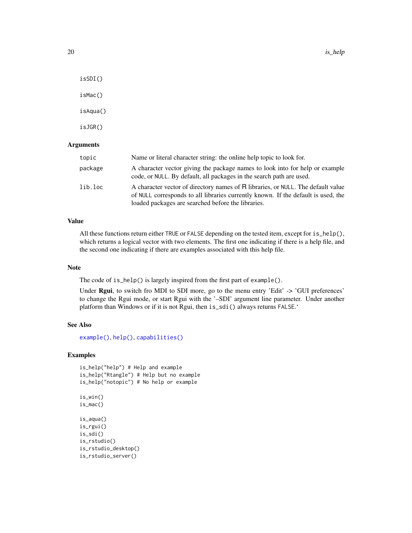<span id="page-19-0"></span>isSDI()

isMac()

isAqua()

isJGR()

# **Arguments**

| topic   | Name or literal character string: the online help topic to look for.                                                                                                                                                        |
|---------|-----------------------------------------------------------------------------------------------------------------------------------------------------------------------------------------------------------------------------|
| package | A character vector giving the package names to look into for help or example<br>code, or NULL. By default, all packages in the search path are used.                                                                        |
| lib.loc | A character vector of directory names of R libraries, or NULL. The default value<br>of NULL corresponds to all libraries currently known. If the default is used, the<br>loaded packages are searched before the libraries. |

# Value

All these functions return either TRUE or FALSE depending on the tested item, except for is\_help(), which returns a logical vector with two elements. The first one indicating if there is a help file, and the second one indicating if there are examples associated with this help file.

# Note

The code of is\_help() is largely inspired from the first part of example().

Under Rgui, to switch fro MDI to SDI more, go to the menu entry 'Edit' -> 'GUI preferences' to change the Rgui mode, or start Rgui with the '-SDI' argument line parameter. Under another platform than Windows or if it is not Rgui, then is\_sdi() always returns FALSE.'

## See Also

[example\(\)](#page-0-0), [help\(\)](#page-0-0), [capabilities\(\)](#page-0-0)

# Examples

```
is_help("help") # Help and example
is_help("Rtangle") # Help but no example
is_help("notopic") # No help or example
```
is\_win() is\_mac() is\_aqua() is\_rgui() is\_sdi()

```
is_rstudio()
is_rstudio_desktop()
is_rstudio_server()
```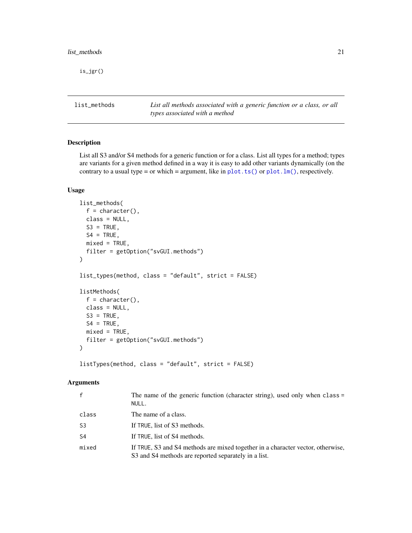<span id="page-20-0"></span>is\_jgr()

list\_methods *List all methods associated with a generic function or a class, or all types associated with a method*

# Description

List all S3 and/or S4 methods for a generic function or for a class. List all types for a method; types are variants for a given method defined in a way it is easy to add other variants dynamically (on the contrary to a usual type = or which = argument, like in  $plot.ts()$  or  $plot.lm()$ , respectively.

#### Usage

```
list_methods(
  f =character(),
  class = NULL,
  S3 = TRUE,
  S4 = TRUE,mixed = TRUE,filter = getOption("svGUI.methods")
\mathcal{E}list_types(method, class = "default", strict = FALSE)
listMethods(
  f =character(),
 class = NULL,
  S3 = TRUE,S4 = TRUE,mixed = TRUE,filter = getOption("svGUI.methods")
\mathcal{L}
```
listTypes(method, class = "default", strict = FALSE)

# Arguments

|       | The name of the generic function (character string), used only when class =<br>NULL.                                                    |
|-------|-----------------------------------------------------------------------------------------------------------------------------------------|
| class | The name of a class.                                                                                                                    |
| S3    | If TRUE, list of S3 methods.                                                                                                            |
| S4    | If TRUE, list of S4 methods.                                                                                                            |
| mixed | If TRUE, S3 and S4 methods are mixed together in a character vector, otherwise,<br>S3 and S4 methods are reported separately in a list. |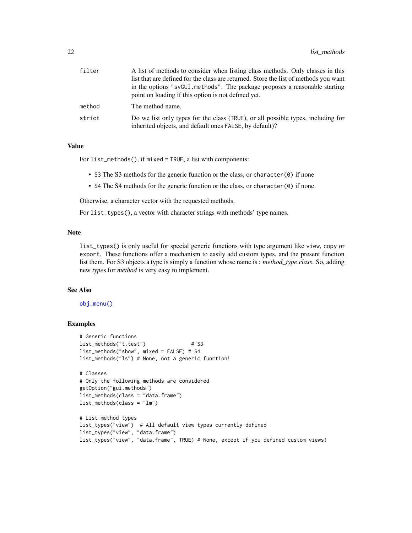<span id="page-21-0"></span>

| filter | A list of methods to consider when listing class methods. Only classes in this                                                              |
|--------|---------------------------------------------------------------------------------------------------------------------------------------------|
|        | list that are defined for the class are returned. Store the list of methods you want                                                        |
|        | in the options "svGUI methods". The package proposes a reasonable starting                                                                  |
|        | point on loading if this option is not defined yet.                                                                                         |
| method | The method name.                                                                                                                            |
| strict | Do we list only types for the class (TRUE), or all possible types, including for<br>inherited objects, and default ones FALSE, by default)? |

# Value

For list\_methods(), if mixed = TRUE, a list with components:

- S3 The S3 methods for the generic function or the class, or character $(\theta)$  if none
- S4 The S4 methods for the generic function or the class, or character(0) if none.

Otherwise, a character vector with the requested methods.

For list\_types(), a vector with character strings with methods' type names.

### Note

list\_types() is only useful for special generic functions with type argument like view, copy or export. These functions offer a mechanism to easily add custom types, and the present function list them. For S3 objects a type is simply a function whose name is : *method*\_*type*.*class*. So, adding new *type*s for *method* is very easy to implement.

#### See Also

[obj\\_menu\(\)](#page-22-1)

```
# Generic functions
list_methods("t.test") # S3
list_methods("show", mixed = FALSE) # S4
list_methods("ls") # None, not a generic function!
# Classes
# Only the following methods are considered
getOption("gui.methods")
list_methods(class = "data.frame")
list_methods(class = "lm")
# List method types
list_types("view") # All default view types currently defined
list_types("view", "data.frame")
list_types("view", "data.frame", TRUE) # None, except if you defined custom views!
```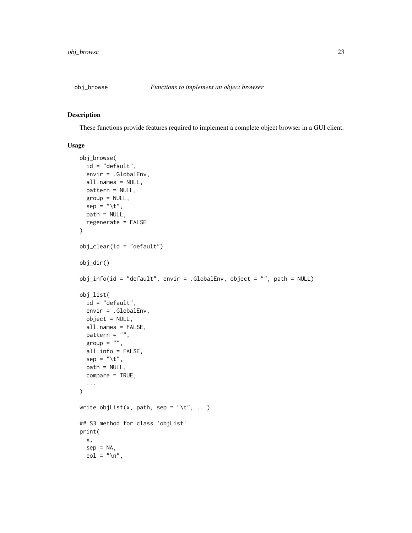<span id="page-22-0"></span>

# <span id="page-22-1"></span>Description

These functions provide features required to implement a complete object browser in a GUI client.

#### Usage

```
obj_browse(
  id = "default",
  envir = .GlobalEnv,
 all.names = NULL,
 pattern = NULL,
 group = NULL,sep = "\t",
 path = NULL,
  regenerate = FALSE
)
obj_clear(id = "default")
obj_dir()
obj_info(id = "default", envir = .GlobalEnv, object = "", path = NULL)
obj_list(
  id = "default",
  envir = .GlobalEnv,
 object = NULL,
  all.names = FALSE,
 pattern = ",
 group = "",all.info = FALSE,
  sep = "\t",
 path = NULL,
 compare = TRUE,
  ...
)
write.objList(x, path, sep = "\t", ...)
## S3 method for class 'objList'
print(
  x,
  sep = NA,eol = " \n\ln",
```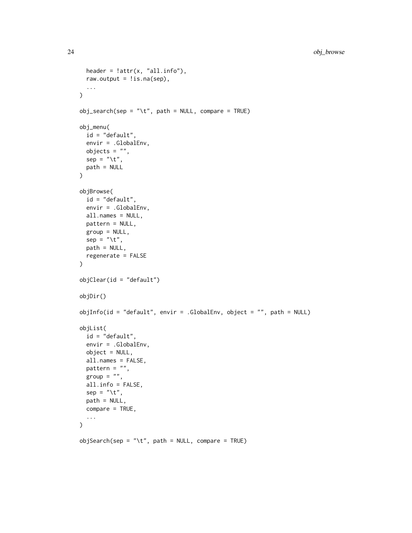```
header = ! \text{attr}(x, "all.info"),
 raw.output = lis.na(sep),
  ...
\mathcal{L}obj_search(sep = "\t", path = NULL, compare = TRUE)
obj_menu(
 id = "default",
 envir = .GlobalEnv,
 objects = "",
 sep = "\t",
 path = NULL
\mathcal{L}objBrowse(
  id = "default",
 envir = .GlobalEnv,
 all.names = NULL,
 pattern = NULL,
 group = NULL,
  sep = "\t",
 path = NULL,
  regenerate = FALSE
\mathcal{L}objClear(id = "default")
objDir()
objInfo(id = "default", envir = .GlobalEnv, object = "", path = NULL)objList(
 id = "default",
  envir = .GlobalEnv,
 object = NULL,
  all.names = FALSE,
 pattern = ",
 group = "",all.info = FALSE,
  sep = "\t",
 path = NULL,
  compare = TRUE,
  ...
)
objSearch(sep = "\t", path = NULL, compare = TRUE)
```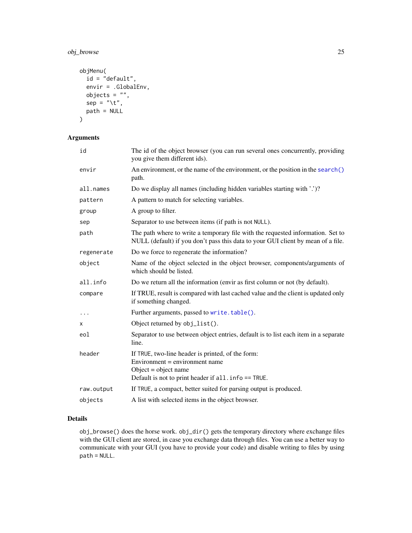<span id="page-24-0"></span>obj\_browse 25

```
objMenu(
  id = "default",
  envir = .GlobalEnv,
 objects = "",sep = "\t",
  path = NULL
\mathcal{L}
```
# Arguments

| id         | The id of the object browser (you can run several ones concurrently, providing<br>you give them different ids).                                                     |
|------------|---------------------------------------------------------------------------------------------------------------------------------------------------------------------|
| envir      | An environment, or the name of the environment, or the position in the search()<br>path.                                                                            |
| all.names  | Do we display all names (including hidden variables starting with '.')?                                                                                             |
| pattern    | A pattern to match for selecting variables.                                                                                                                         |
| group      | A group to filter.                                                                                                                                                  |
| sep        | Separator to use between items (if path is not NULL).                                                                                                               |
| path       | The path where to write a temporary file with the requested information. Set to<br>NULL (default) if you don't pass this data to your GUI client by mean of a file. |
| regenerate | Do we force to regenerate the information?                                                                                                                          |
| object     | Name of the object selected in the object browser, components/arguments of<br>which should be listed.                                                               |
| all.info   | Do we return all the information (envir as first column or not (by default).                                                                                        |
| compare    | If TRUE, result is compared with last cached value and the client is updated only<br>if something changed.                                                          |
| $\cdots$   | Further arguments, passed to write.table().                                                                                                                         |
| X          | Object returned by obj_list().                                                                                                                                      |
| eol        | Separator to use between object entries, default is to list each item in a separate<br>line.                                                                        |
| header     | If TRUE, two-line header is printed, of the form:<br>Environment = environment name<br>Object = object name<br>Default is not to print header if all. info == TRUE. |
| raw.output | If TRUE, a compact, better suited for parsing output is produced.                                                                                                   |
| objects    | A list with selected items in the object browser.                                                                                                                   |
|            |                                                                                                                                                                     |

# Details

obj\_browse() does the horse work. obj\_dir() gets the temporary directory where exchange files with the GUI client are stored, in case you exchange data through files. You can use a better way to communicate with your GUI (you have to provide your code) and disable writing to files by using path = NULL.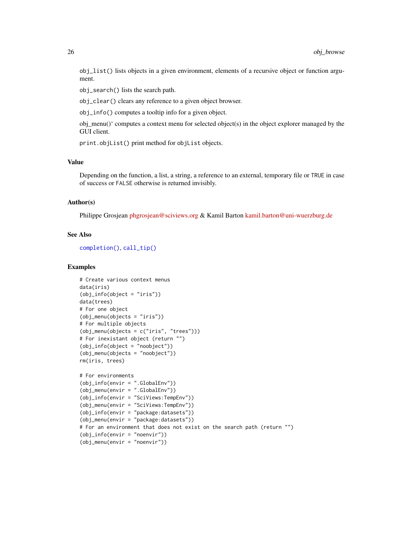<span id="page-25-0"></span>obj\_list() lists objects in a given environment, elements of a recursive object or function argument.

obj\_search() lists the search path.

obj\_clear() clears any reference to a given object browser.

obj\_info() computes a tooltip info for a given object.

obj\_menu()' computes a context menu for selected object(s) in the object explorer managed by the GUI client.

print.objList() print method for objList objects.

### Value

Depending on the function, a list, a string, a reference to an external, temporary file or TRUE in case of success or FALSE otherwise is returned invisibly.

#### Author(s)

Philippe Grosjean [phgrosjean@sciviews.org](mailto:phgrosjean@sciviews.org) & Kamil Barton [kamil.barton@uni-wuerzburg.de](mailto:kamil.barton@uni-wuerzburg.de)

#### See Also

[completion\(\)](#page-8-1), [call\\_tip\(\)](#page-11-1)

```
# Create various context menus
data(iris)
(obj_info(object = "iris"))
data(trees)
# For one object
(obj_menu(objects = "iris"))
# For multiple objects
(obj_menu(objects = c("iris", "trees")))
# For inexistant object (return "")
(obj_info(object = "noobject"))
(obj_menu(objects = "noobject"))
rm(iris, trees)
# For environments
(obj_info(envir = ".GlobalEnv"))
(obj_menu(envir = ".GlobalEnv"))
(obj_info(envir = "SciViews:TempEnv"))
(obj_menu(envir = "SciViews:TempEnv"))
(obj_info(envir = "package:datasets"))
(obj_menu(envir = "package:datasets"))
# For an environment that does not exist on the search path (return "")
(obj_info(envir = "noenvir"))
(obj_menu(envir = "noenvir"))
```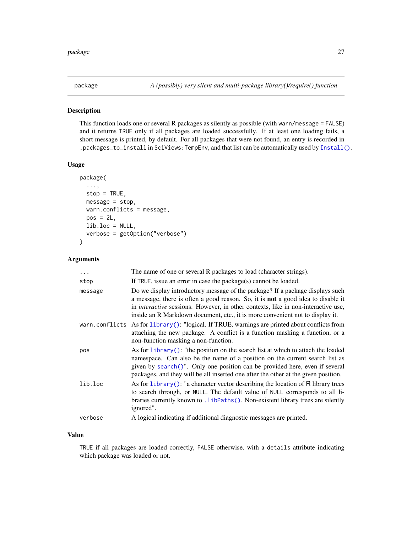#### <span id="page-26-1"></span><span id="page-26-0"></span>Description

This function loads one or several R packages as silently as possible (with warn/message = FALSE) and it returns TRUE only if all packages are loaded successfully. If at least one loading fails, a short message is printed, by default. For all packages that were not found, an entry is recorded in .packages\_to\_install in SciViews:TempEnv, and that list can be automatically used by [Install\(\)](#page-17-1).

#### Usage

```
package(
  ...,
  stop = TRUE,message = stop,
 warn.conflicts = message,
 pos = 2L,
  lib.loc = NULL,
  verbose = getOption("verbose")
)
```
# Arguments

| $\cdots$ | The name of one or several R packages to load (character strings).                                                                                                                                                                                                                                                                                    |
|----------|-------------------------------------------------------------------------------------------------------------------------------------------------------------------------------------------------------------------------------------------------------------------------------------------------------------------------------------------------------|
| stop     | If TRUE, issue an error in case the package( $s$ ) cannot be loaded.                                                                                                                                                                                                                                                                                  |
| message  | Do we display introductory message of the package? If a package displays such<br>a message, there is often a good reason. So, it is <b>not</b> a good idea to disable it<br>in <i>interactive</i> sessions. However, in other contexts, like in non-interactive use,<br>inside an R Markdown document, etc., it is more convenient not to display it. |
|          | warn.conflicts As for library (): "logical. If TRUE, warnings are printed about conflicts from<br>attaching the new package. A conflict is a function masking a function, or a<br>non-function masking a non-function.                                                                                                                                |
| pos      | As for $\text{library}()$ : "the position on the search list at which to attach the loaded<br>namespace. Can also be the name of a position on the current search list as<br>given by search()". Only one position can be provided here, even if several<br>packages, and they will be all inserted one after the other at the given position.        |
| lib.loc  | As for $\text{library}()$ : "a character vector describing the location of R library trees<br>to search through, or NULL. The default value of NULL corresponds to all li-<br>braries currently known to . LibPaths (). Non-existent library trees are silently<br>ignored".                                                                          |
| verbose  | A logical indicating if additional diagnostic messages are printed.                                                                                                                                                                                                                                                                                   |

#### Value

TRUE if all packages are loaded correctly, FALSE otherwise, with a details attribute indicating which package was loaded or not.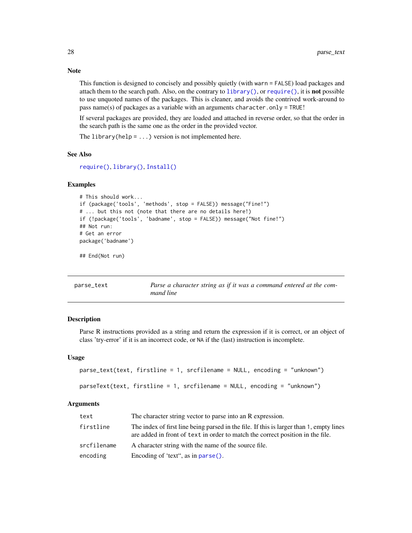This function is designed to concisely and possibly quietly (with warn = FALSE) load packages and attach them to the search path. Also, on the contrary to [library\(\)](#page-0-0), or [require\(\)](#page-0-0), it is not possible to use unquoted names of the packages. This is cleaner, and avoids the contrived work-around to pass name(s) of packages as a variable with an arguments character.only = TRUE!

If several packages are provided, they are loaded and attached in reverse order, so that the order in the search path is the same one as the order in the provided vector.

The library(help =  $\dots$ ) version is not implemented here.

#### See Also

```
require(), library(), Install()
```
#### Examples

```
# This should work...
if (package('tools', 'methods', stop = FALSE)) message("Fine!")
# ... but this not (note that there are no details here!)
if (!package('tools', 'badname', stop = FALSE)) message("Not fine!")
## Not run:
# Get an error
package('badname')
```
## End(Not run)

<span id="page-27-1"></span>

| parse_text |  |
|------------|--|
|------------|--|

Parse a character string as if it was a command entered at the com*mand line*

#### Description

Parse R instructions provided as a string and return the expression if it is correct, or an object of class 'try-error' if it is an incorrect code, or NA if the (last) instruction is incomplete.

#### Usage

```
parse_text(text, firstline = 1, srcfilename = NULL, encoding = "unknown")
parseText(text, firstline = 1, srcfilename = NULL, encoding = "unknown")
```
#### Arguments

| text        | The character string vector to parse into an R expression.                                                                                                                |
|-------------|---------------------------------------------------------------------------------------------------------------------------------------------------------------------------|
| firstline   | The index of first line being parsed in the file. If this is larger than 1, empty lines<br>are added in front of text in order to match the correct position in the file. |
| srcfilename | A character string with the name of the source file.                                                                                                                      |
| encoding    | Encoding of 'text", as in parse().                                                                                                                                        |

<span id="page-27-0"></span>

#### Note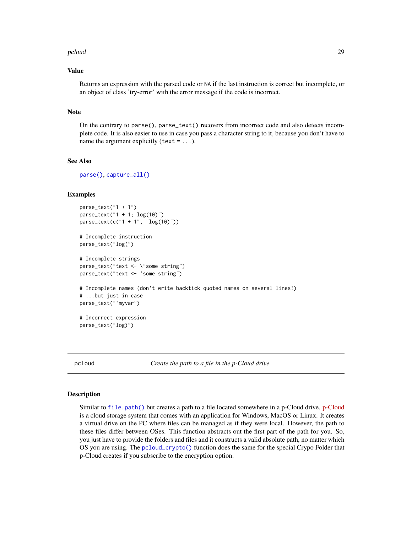#### <span id="page-28-0"></span>pcloud 29

#### Value

Returns an expression with the parsed code or NA if the last instruction is correct but incomplete, or an object of class 'try-error' with the error message if the code is incorrect.

#### Note

On the contrary to parse(), parse\_text() recovers from incorrect code and also detects incomplete code. It is also easier to use in case you pass a character string to it, because you don't have to name the argument explicitly (text =  $\dots$ ).

### See Also

[parse\(\)](#page-0-0), [capture\\_all\(\)](#page-5-1)

#### Examples

```
parse\_text("1 + 1")parse_text("1 + 1; log(10)")
parse_text(c("1 + 1", "log(10)"))
# Incomplete instruction
parse_text("log(")
# Incomplete strings
parse_text("text <- \"some string")
parse_text("text <- 'some string")
# Incomplete names (don't write backtick quoted names on several lines!)
# ...but just in case
```
parse\_text("`myvar") # Incorrect expression

```
parse_text("log)")
```
pcloud *Create the path to a file in the p-Cloud drive*

#### <span id="page-28-1"></span>**Description**

Similar to [file.path\(\)](#page-0-0) but creates a path to a file located somewhere in a p-Cloud drive. [p-Cloud](https://www.pcloud.com/eu.html) is a cloud storage system that comes with an application for Windows, MacOS or Linux. It creates a virtual drive on the PC where files can be managed as if they were local. However, the path to these files differ between OSes. This function abstracts out the first part of the path for you. So, you just have to provide the folders and files and it constructs a valid absolute path, no matter which OS you are using. The [pcloud\\_crypto\(\)](#page-28-1) function does the same for the special Crypo Folder that p-Cloud creates if you subscribe to the encryption option.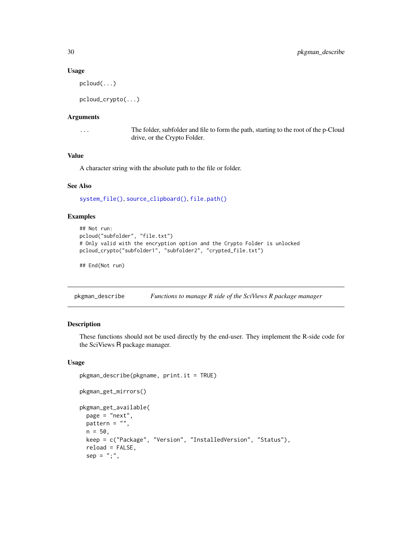#### Usage

pcloud(...)

pcloud\_crypto(...)

# Arguments

... The folder, subfolder and file to form the path, starting to the root of the p-Cloud drive, or the Crypto Folder.

# Value

A character string with the absolute path to the file or folder.

#### See Also

[system\\_file\(\)](#page-37-1), [source\\_clipboard\(\)](#page-35-1), [file.path\(\)](#page-0-0)

### Examples

```
## Not run:
pcloud("subfolder", "file.txt")
# Only valid with the encryption option and the Crypto Folder is unlocked
pcloud_crypto("subfolder1", "subfolder2", "crypted_file.txt")
```
## End(Not run)

pkgman\_describe *Functions to manage R side of the SciViews R package manager*

### Description

These functions should not be used directly by the end-user. They implement the R-side code for the SciViews R package manager.

# Usage

```
pkgman_describe(pkgname, print.it = TRUE)
pkgman_get_mirrors()
pkgman_get_available(
 page = "next",
 pattern = ",
 n = 50,
 keep = c("Package", "Version", "InstalledVersion", "Status"),
  reload = FALSE,
  sep = ";",
```
<span id="page-29-0"></span>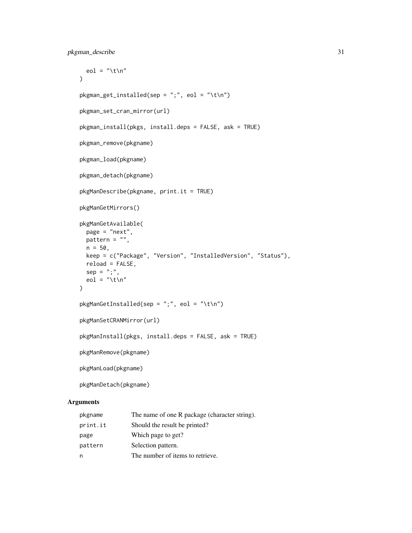```
eol = "\t\n"
\lambdapkgman\_get\_installed(sep = ";", eol = "\\t\nu")pkgman_set_cran_mirror(url)
pkgman_install(pkgs, install.deps = FALSE, ask = TRUE)
pkgman_remove(pkgname)
pkgman_load(pkgname)
pkgman_detach(pkgname)
pkgManDescribe(pkgname, print.it = TRUE)
pkgManGetMirrors()
pkgManGetAvailable(
 page = "next",
 pattern = "",n = 50,
 keep = c("Package", "Version", "InstalledVersion", "Status"),
 reload = FALSE,
 sep = ";"eol = "\t\n"
\mathcal{L}pkgManGetInsteadled(sep = ";", eol = "\\t\n\\n")pkgManSetCRANMirror(url)
pkgManInstall(pkgs, install.deps = FALSE, ask = TRUE)
pkgManRemove(pkgname)
pkgManLoad(pkgname)
pkgManDetach(pkgname)
```
# Arguments

| pkgname  | The name of one R package (character string). |
|----------|-----------------------------------------------|
| print.it | Should the result be printed?                 |
| page     | Which page to get?                            |
| pattern  | Selection pattern.                            |
| n        | The number of items to retrieve.              |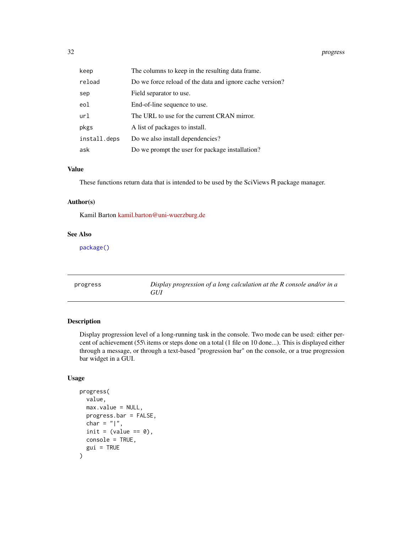#### <span id="page-31-0"></span>32 progress

| keep         | The columns to keep in the resulting data frame.         |
|--------------|----------------------------------------------------------|
| reload       | Do we force reload of the data and ignore cache version? |
| sep          | Field separator to use.                                  |
| eol          | End-of-line sequence to use.                             |
| url          | The URL to use for the current CRAN mirror.              |
| pkgs         | A list of packages to install.                           |
| install.deps | Do we also install dependencies?                         |
| ask          | Do we prompt the user for package installation?          |

# Value

These functions return data that is intended to be used by the SciViews R package manager.

#### Author(s)

Kamil Barton [kamil.barton@uni-wuerzburg.de](mailto:kamil.barton@uni-wuerzburg.de)

#### See Also

[package\(\)](#page-26-1)

<span id="page-31-1"></span>progress *Display progression of a long calculation at the R console and/or in a GUI*

# Description

Display progression level of a long-running task in the console. Two mode can be used: either percent of achievement (55\ items or steps done on a total (1 file on 10 done...). This is displayed either through a message, or through a text-based "progression bar" on the console, or a true progression bar widget in a GUI.

#### Usage

```
progress(
  value,
  max.value = NULL,
 progress.bar = FALSE,
  char = "|",
  init = (value == 0),
  console = TRUE,
  gui = TRUE)
```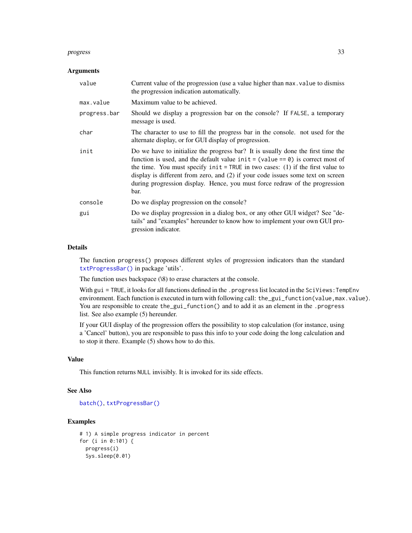#### <span id="page-32-0"></span>progress 33

#### Arguments

| value        | Current value of the progression (use a value higher than max value to dismiss<br>the progression indication automatically.                                                                                                                                                                                                                                                                                                        |
|--------------|------------------------------------------------------------------------------------------------------------------------------------------------------------------------------------------------------------------------------------------------------------------------------------------------------------------------------------------------------------------------------------------------------------------------------------|
| max.value    | Maximum value to be achieved.                                                                                                                                                                                                                                                                                                                                                                                                      |
| progress.bar | Should we display a progression bar on the console? If FALSE, a temporary<br>message is used.                                                                                                                                                                                                                                                                                                                                      |
| char         | The character to use to fill the progress bar in the console, not used for the<br>alternate display, or for GUI display of progression.                                                                                                                                                                                                                                                                                            |
| init         | Do we have to initialize the progress bar? It is usually done the first time the<br>function is used, and the default value $init = (value == 0)$ is correct most of<br>the time. You must specify $init = TRUE$ in two cases: (1) if the first value to<br>display is different from zero, and (2) if your code issues some text on screen<br>during progression display. Hence, you must force redraw of the progression<br>bar. |
| console      | Do we display progression on the console?                                                                                                                                                                                                                                                                                                                                                                                          |
| gui          | Do we display progression in a dialog box, or any other GUI widget? See "de-<br>tails" and "examples" hereunder to know how to implement your own GUI pro-<br>gression indicator.                                                                                                                                                                                                                                                  |

# Details

The function progress() proposes different styles of progression indicators than the standard [txtProgressBar\(\)](#page-0-0) in package 'utils'.

The function uses backspace (\8) to erase characters at the console.

With gui = TRUE, it looks for all functions defined in the . progress list located in the SciViews: TempEnv environment. Each function is executed in turn with following call: the\_gui\_function(value,max.value). You are responsible to create the\_gui\_function() and to add it as an element in the .progress list. See also example (5) hereunder.

If your GUI display of the progression offers the possibility to stop calculation (for instance, using a 'Cancel' button), you are responsible to pass this info to your code doing the long calculation and to stop it there. Example (5) shows how to do this.

# Value

This function returns NULL invisibly. It is invoked for its side effects.

### See Also

```
batch(), txtProgressBar()
```

```
# 1) A simple progress indicator in percent
for (i in 0:101) {
  progress(i)
  Sys.sleep(0.01)
```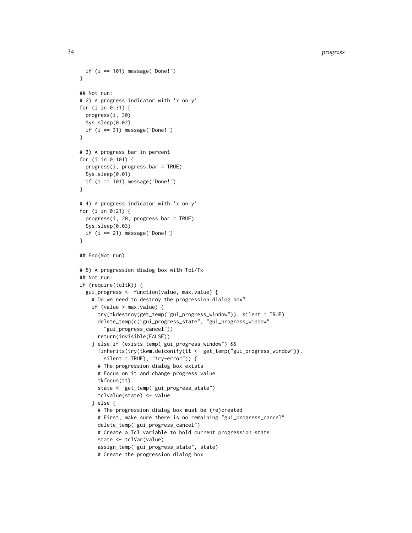```
if (i == 101) message("Done!")
}
## Not run:
# 2) A progress indicator with 'x on y'
for (i in 0:31) {
 progress(i, 30)
 Sys.sleep(0.02)
 if (i == 31) message("Done!")
}
# 3) A progress bar in percent
for (i in 0:101) {
 progress(i, progress.bar = TRUE)
 Sys.sleep(0.01)
 if (i == 101) message("Done!")
}
# 4) A progress indicator with 'x on y'
for (i in 0:21) {
 progress(i, 20, progress.bar = TRUE)
 Sys.sleep(0.03)
 if (i == 21) message("Done!")
}
## End(Not run)
# 5) A progression dialog box with Tcl/Tk
## Not run:
if (require(tcltk)) {
 gui_progress <- function(value, max.value) {
    # Do we need to destroy the progression dialog box?
    if (value > max.value) {
     try(tkdestroy(get_temp("gui_progress_window")), silent = TRUE)
     delete_temp(c("gui_progress_state", "gui_progress_window",
        "gui_progress_cancel"))
     return(invisible(FALSE))
    } else if (exists_temp("gui_progress_window") &&
      !inherits(try(tkwm.deiconify(tt <- get_temp("gui_progress_window")),
        silent = TRUE), "try-error")) {
      # The progression dialog box exists
     # Focus on it and change progress value
     tkfocus(tt)
     state <- get_temp("gui_progress_state")
     tclvalue(state) <- value
    } else {
     # The progression dialog box must be (re)created
     # First, make sure there is no remaining "gui_progress_cancel"
     delete_temp("gui_progress_cancel")
     # Create a Tcl variable to hold current progression state
     state <- tclVar(value)
      assign_temp("gui_progress_state", state)
      # Create the progression dialog box
```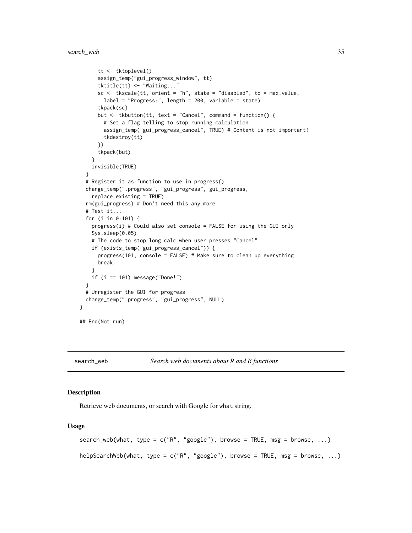```
tt <- tktoplevel()
     assign_temp("gui_progress_window", tt)
     tktitle(tt) <- "Waiting..."
     sc \leq tkscale(tt, orient = "h", state = "disabled", to = max.value,
       label = "Progress:", length = 200, variable = state)
     tkpack(sc)
     but <- tkbutton(tt, text = "Cancel", command = function() {
        # Set a flag telling to stop running calculation
        assign_temp("gui_progress_cancel", TRUE) # Content is not important!
        tkdestroy(tt)
     })
     tkpack(but)
    }
    invisible(TRUE)
 }
 # Register it as function to use in progress()
 change_temp(".progress", "gui_progress", gui_progress,
   replace.existing = TRUE)
 rm(gui_progress) # Don't need this any more
 # Test it...
 for (i in 0:101) {
   progress(i) # Could also set console = FALSE for using the GUI only
   Sys.sleep(0.05)
    # The code to stop long calc when user presses "Cancel"
    if (exists_temp("gui_progress_cancel")) {
     progress(101, console = FALSE) # Make sure to clean up everything
     break
    }
   if (i == 101) message("Done!")
 }
 # Unregister the GUI for progress
 change_temp(".progress", "gui_progress", NULL)
## End(Not run)
```
search\_web *Search web documents about R and R functions*

#### Description

}

Retrieve web documents, or search with Google for what string.

#### Usage

```
search_web(what, type = c("R", "google"), browse = TRUE, msg = browse, ...)
helpSearchWeb(what, type = c("R", "google"), browse = TRUE, msg = browse, ...)
```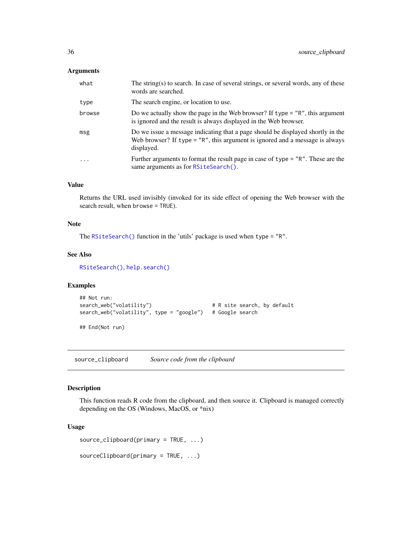#### <span id="page-35-0"></span>Arguments

| what                    | The string(s) to search. In case of several strings, or several words, any of these<br>words are searched.                                                                      |
|-------------------------|---------------------------------------------------------------------------------------------------------------------------------------------------------------------------------|
| type                    | The search engine, or location to use.                                                                                                                                          |
| browse                  | Do we actually show the page in the Web browser? If type $=$ "R", this argument<br>is ignored and the result is always displayed in the Web browser.                            |
| msg                     | Do we issue a message indicating that a page should be displayed shortly in the<br>Web browser? If type $=$ "R", this argument is ignored and a message is always<br>displayed. |
| $\cdot$ $\cdot$ $\cdot$ | Further arguments to format the result page in case of type $=$ "R". These are the<br>same arguments as for RSiteSearch().                                                      |

# Value

Returns the URL used invisibly (invoked for its side effect of opening the Web browser with the search result, when browse = TRUE).

#### Note

The [RSiteSearch\(\)](#page-0-0) function in the 'utils' package is used when type = "R".

# See Also

[RSiteSearch\(\)](#page-0-0), [help.search\(\)](#page-0-0)

# Examples

```
## Not run:
search_web("volatility") # R site search, by default
search_web("volatility", type = "google") # Google search
## End(Not run)
```
<span id="page-35-1"></span>source\_clipboard *Source code from the clipboard*

# Description

This function reads R code from the clipboard, and then source it. Clipboard is managed correctly depending on the OS (Windows, MacOS, or \*nix)

#### Usage

```
source_clipboard(primary = TRUE, ...)
```

```
sourceClipboard(primary = TRUE, ...)
```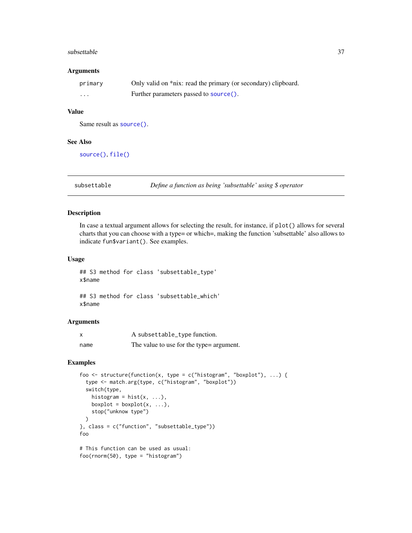#### <span id="page-36-0"></span>subsettable 37

#### Arguments

| primary | Only valid on *nix: read the primary (or secondary) clipboard. |
|---------|----------------------------------------------------------------|
| .       | Further parameters passed to source().                         |

# Value

Same result as [source\(\)](#page-0-0).

#### See Also

```
source(), file()
```
subsettable *Define a function as being 'subsettable' using \$ operator*

#### Description

In case a textual argument allows for selecting the result, for instance, if plot() allows for several charts that you can choose with a type= or which=, making the function 'subsettable' also allows to indicate fun\$variant(). See examples.

#### Usage

## S3 method for class 'subsettable\_type' x\$name ## S3 method for class 'subsettable\_which' x\$name

# Arguments

| x    | A subsettable_type function.              |
|------|-------------------------------------------|
| name | The value to use for the type = argument. |

```
foo <- structure(function(x, type = c("histogram", "boxplot"), ...) {
 type <- match.arg(type, c("histogram", "boxplot"))
 switch(type,
   histogram = hist(x, ...),boxplot = boxplot(x, ...),stop("unknow type")
 )
}, class = c("function", "subsettable_type"))
foo
# This function can be used as usual:
foo(rnorm(50), type = "histogram")
```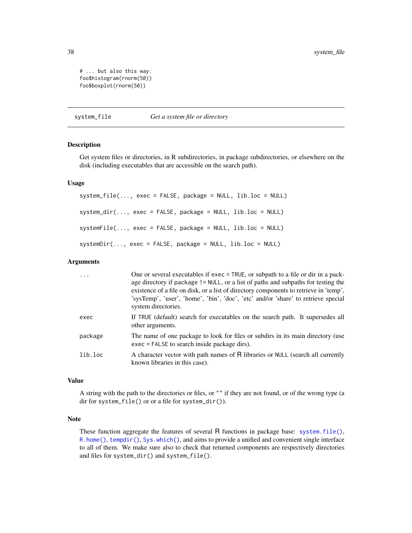# ... but also this way: foo\$histogram(rnorm(50)) foo\$boxplot(rnorm(50))

<span id="page-37-1"></span>system\_file *Get a system file or directory*

# **Description**

Get system files or directories, in R subdirectories, in package subdirectories, or elsewhere on the disk (including executables that are accessible on the search path).

#### Usage

system\_file(..., exec = FALSE, package = NULL, lib.loc = NULL) system\_dir(..., exec = FALSE, package = NULL, lib.loc = NULL) systemFile(..., exec = FALSE, package = NULL, lib.loc = NULL) systemDir(..., exec = FALSE, package = NULL, lib.loc = NULL)

#### Arguments

| $\cdot$ | One or several executables if exec = TRUE, or subpath to a file or dir in a pack-<br>age directory if package != NULL, or a list of paths and subpaths for testing the<br>existence of a file on disk, or a list of directory components to retrieve in 'temp',<br>'sysTemp', 'user', 'home', 'bin', 'doc', 'etc' and/or 'share' to retrieve special<br>system directories. |
|---------|-----------------------------------------------------------------------------------------------------------------------------------------------------------------------------------------------------------------------------------------------------------------------------------------------------------------------------------------------------------------------------|
| exec    | If TRUE (default) search for executables on the search path. It supersedes all<br>other arguments.                                                                                                                                                                                                                                                                          |
| package | The name of one package to look for files or subdirs in its main directory (use<br>exec = FALSE to search inside package dirs).                                                                                                                                                                                                                                             |
| lib.loc | A character vector with path names of R libraries or NULL (search all currently<br>known libraries in this case).                                                                                                                                                                                                                                                           |

#### Value

A string with the path to the directories or files, or "" if they are not found, or of the wrong type (a dir for system\_file() or or a file for system\_dir()).

#### Note

These function aggregate the features of several R functions in package base: [system.file\(\)](#page-0-0), [R.home\(\)](#page-0-0), [tempdir\(\)](#page-0-0), [Sys.which\(\)](#page-0-0), and aims to provide a unified and convenient single interface to all of them. We make sure also to check that returned components are respectively directories and files for system\_dir() and system\_file().

<span id="page-37-0"></span>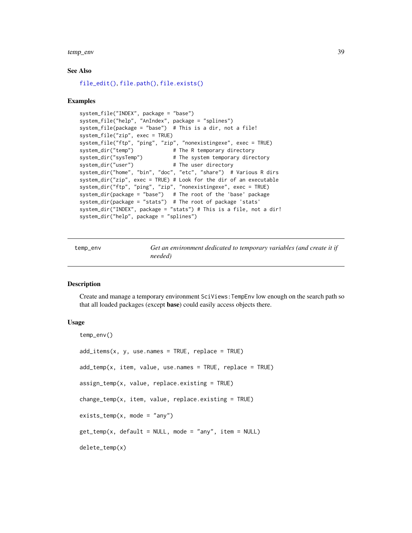<span id="page-38-0"></span>temp\_env 39

#### See Also

```
file_edit(), file.path(), file.exists()
```
#### Examples

```
system_file("INDEX", package = "base")
system_file("help", "AnIndex", package = "splines")
system_file(package = "base") # This is a dir, not a file!
system_file("zip", exec = TRUE)
system_file("ftp", "ping", "zip", "nonexistingexe", exec = TRUE)
system_dir("temp") # The R temporary directory
system_dir("sysTemp") # The system temporary directory
system_dir("user") \qquad # The user directory
system_dir("home", "bin", "doc", "etc", "share") # Various R dirs
system_dir("zip", exec = TRUE) # Look for the dir of an executable
system_dir("ftp", "ping", "zip", "nonexistingexe", exec = TRUE)
system_dir(package = "base") # The root of the 'base' package
system_dir(package = "stats") # The root of package 'stats'
system_dir("INDEX", package = "stats") # This is a file, not a dir!
system_dir("help", package = "splines")
```
<span id="page-38-2"></span>temp\_env *Get an environment dedicated to temporary variables (and create it if needed)*

#### <span id="page-38-1"></span>Description

Create and manage a temporary environment SciViews:TempEnv low enough on the search path so that all loaded packages (except base) could easily access objects there.

#### Usage

```
temp_env()
add\_items(x, y, use.name = TRUE, replace = TRUE)add{\_}temp(x, item, value, use{\_}name = TRUE, replace = TRUE)assign_temp(x, value, replace.existing = TRUE)
change_temp(x, item, value, replace.existing = TRUE)
exists_temp(x, mode = "any")get_temp(x, default = NULL, mode = "any", item = NULL)delete_temp(x)
```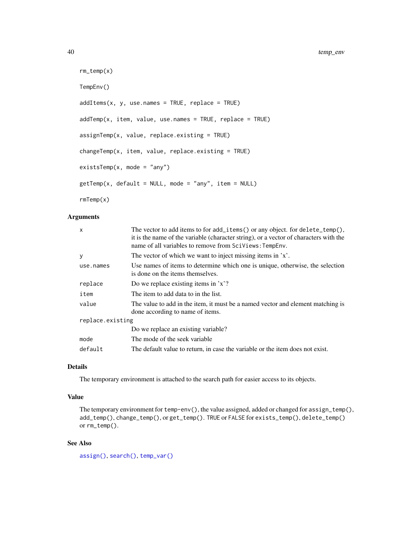```
rm_temp(x)
TempEnv()
addItems(x, y, use.name = TRUE, replace = TRUE)addTemp(x, item, value, use. names = TRUE, replace = TRUE)assignTemp(x, value, replace.existing = TRUE)
changeTemp(x, item, value, replace.existing = TRUE)
existsTemp(x, mode = "any")getTemp(x, default = NULL, mode = "any", item = NULL)rmTemp(x)
```
#### Arguments

| X                | The vector to add items to for $add\_items()$ or any object. for $delete\_temp(),$<br>it is the name of the variable (character string), or a vector of characters with the<br>name of all variables to remove from SciViews: TempEnv. |
|------------------|----------------------------------------------------------------------------------------------------------------------------------------------------------------------------------------------------------------------------------------|
| y                | The vector of which we want to inject missing items in 'x'.                                                                                                                                                                            |
| use.names        | Use names of items to determine which one is unique, otherwise, the selection<br>is done on the items themselves.                                                                                                                      |
| replace          | Do we replace existing items in $x$ ?                                                                                                                                                                                                  |
| item             | The item to add data to in the list.                                                                                                                                                                                                   |
| value            | The value to add in the item, it must be a named vector and element matching is<br>done according to name of items.                                                                                                                    |
| replace.existing |                                                                                                                                                                                                                                        |
|                  | Do we replace an existing variable?                                                                                                                                                                                                    |
| mode             | The mode of the seek variable                                                                                                                                                                                                          |
| default          | The default value to return, in case the variable or the item does not exist.                                                                                                                                                          |

# Details

The temporary environment is attached to the search path for easier access to its objects.

# Value

The temporary environment for  $temp-env()$ , the value assigned, added or changed for assign\_temp $(),$ add\_temp(), change\_temp(), or get\_temp(). TRUE or FALSE for exists\_temp(), delete\_temp() or rm\_temp().

# See Also

[assign\(\)](#page-0-0), [search\(\)](#page-0-0), [temp\\_var\(\)](#page-41-1)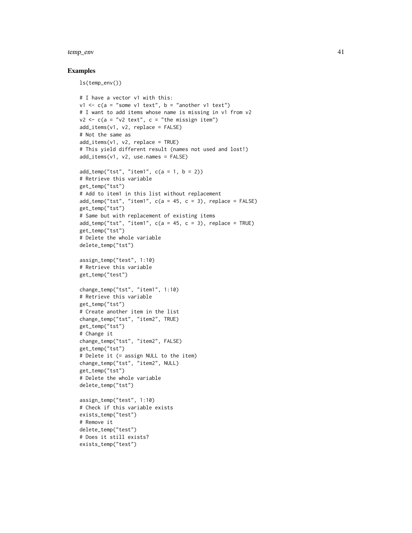#### temp\_env 41

```
ls(temp_env())
```

```
# I have a vector v1 with this:
v1 \leq c(a = "some v1 text", b = "another v1 text")# I want to add items whose name is missing in v1 from v2
v2 \leq -c(a = "v2 text", c = "the missing item")add_items(v1, v2, replace = FALSE)
# Not the same as
add\_items(v1, v2, replace = TRUE)# This yield different result (names not used and lost!)
add_items(v1, v2, use.names = FALSE)
add\_temp("tst", "item1", c(a = 1, b = 2))# Retrieve this variable
get_temp("tst")
# Add to item1 in this list without replacement
add_temp("tst", "item1", c(a = 45, c = 3), replace = FALSE)
get_temp("tst")
# Same but with replacement of existing items
add\_temp("tst", "item1", c(a = 45, c = 3), replace = TRUE)get_temp("tst")
# Delete the whole variable
delete_temp("tst")
assign_temp("test", 1:10)
# Retrieve this variable
get_temp("test")
change_temp("tst", "item1", 1:10)
# Retrieve this variable
get_temp("tst")
# Create another item in the list
change_temp("tst", "item2", TRUE)
get_temp("tst")
# Change it
change_temp("tst", "item2", FALSE)
get_temp("tst")
# Delete it (= assign NULL to the item)
change_temp("tst", "item2", NULL)
get_temp("tst")
# Delete the whole variable
delete_temp("tst")
assign_temp("test", 1:10)
# Check if this variable exists
exists_temp("test")
# Remove it
delete_temp("test")
# Does it still exists?
exists_temp("test")
```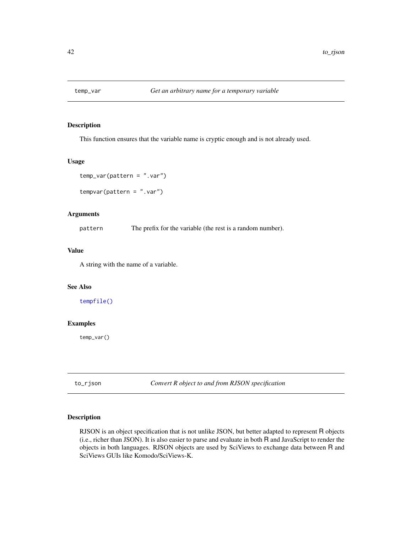<span id="page-41-1"></span><span id="page-41-0"></span>

# Description

This function ensures that the variable name is cryptic enough and is not already used.

#### Usage

```
temp_var(pattern = ".var")
```

```
tempvar(pattern = ".var")
```
#### Arguments

pattern The prefix for the variable (the rest is a random number).

#### Value

A string with the name of a variable.

# See Also

[tempfile\(\)](#page-0-0)

# Examples

temp\_var()

to\_rjson *Convert R object to and from RJSON specification*

# Description

RJSON is an object specification that is not unlike JSON, but better adapted to represent R objects (i.e., richer than JSON). It is also easier to parse and evaluate in both R and JavaScript to render the objects in both languages. RJSON objects are used by SciViews to exchange data between R and SciViews GUIs like Komodo/SciViews-K.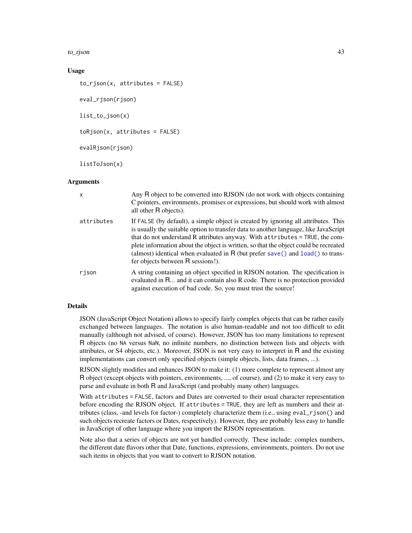<span id="page-42-0"></span>to\_rjson 43

### Usage

```
to_rjson(x, attributes = FALSE)
eval_rjson(rjson)
list_to_json(x)
toRjson(x, attributes = FALSE)evalRjson(rjson)
listToJson(x)
```
# **Arguments**

| $\mathsf{x}$ | Any R object to be converted into RJSON (do not work with objects containing<br>C pointers, environments, promises or expressions, but should work with almost<br>all other R objects).                                                                                                                                                                                                                                                                                     |
|--------------|-----------------------------------------------------------------------------------------------------------------------------------------------------------------------------------------------------------------------------------------------------------------------------------------------------------------------------------------------------------------------------------------------------------------------------------------------------------------------------|
| attributes   | If FALSE (by default), a simple object is created by ignoring all attributes. This<br>is usually the suitable option to transfer data to another language, like JavaScript<br>that do not understand R attributes anyway. With attributes = TRUE, the com-<br>plete information about the object is written, so that the object could be recreated<br>(almost) identical when evaluated in R (but prefer save() and $load()$ to trans-<br>fer objects between R sessions!). |
| rison        | A string containing an object specified in RJSON notation. The specification is<br>evaluated in R and it can contain also R code. There is no protection provided<br>against execution of bad code. So, you must trust the source!                                                                                                                                                                                                                                          |

#### Details

JSON (JavaScript Object Notation) allows to specify fairly complex objects that can be rather easily exchanged between languages. The notation is also human-readable and not too difficult to edit manually (although not advised, of course). However, JSON has too many limitations to represent R objects (no NA versus NaN, no infinite numbers, no distinction between lists and objects with attributes, or S4 objects, etc.). Moreover, JSON is not very easy to interpret in R and the existing implementations can convert only specified objects (simple objects, lists, data frames, ...).

RJSON slightly modifies and enhances JSON to make it: (1) more complete to represent almost any R object (except objects with pointers, environments, ..., of course), and (2) to make it very easy to parse and evaluate in both R and JavaScript (and probably many other) languages.

With attributes = FALSE, factors and Dates are converted to their usual character representation before encoding the RJSON object. If attributes = TRUE, they are left as numbers and their attributes (class, -and levels for factor-) completely characterize them (i.e., using eval\_rjson() and such objects recreate factors or Dates, respectively). However, they are probably less easy to handle in JavaScript of other language where you import the RJSON representation.

Note also that a series of objects are not yet handled correctly. These include: complex numbers, the different date flavors other that Date, functions, expressions, environments, pointers. Do not use such items in objects that you want to convert to RJSON notation.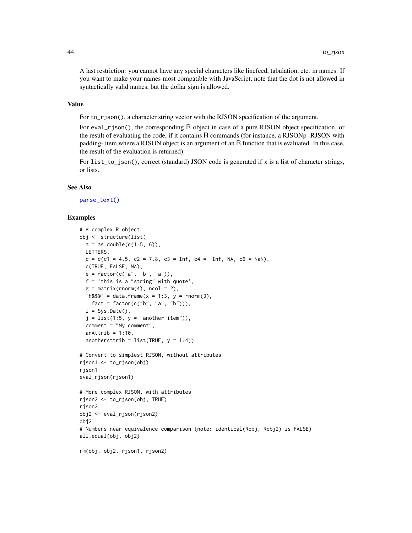<span id="page-43-0"></span>A last restriction: you cannot have any special characters like linefeed, tabulation, etc. in names. If you want to make your names most compatible with JavaScript, note that the dot is not allowed in syntactically valid names, but the dollar sign is allowed.

# Value

For to\_rjson(), a character string vector with the RJSON specification of the argument.

For eval\_rjson(), the corresponding R object in case of a pure RJSON object specification, or the result of evaluating the code, if it contains R commands (for instance, a RJSONp -RJSON with padding- item where a RJSON object is an argument of an R function that is evaluated. In this case, the result of the evaluation is returned).

For  $list_to_json()$ , correct (standard) JSON code is generated if x is a list of character strings, or lists.

#### See Also

[parse\\_text\(\)](#page-27-1)

```
# A complex R object
obj <- structure(list(
 a = as.double(c(1:5, 6)),LETTERS,
 c = c(c1 = 4.5, c2 = 7.8, c3 = Inf, c4 = -Inf, NA, c6 = Nan),c(TRUE, FALSE, NA),
 e = factor(c("a", "b", "a")),
 f = 'this is a "string" with quote',
 g = matrix(rnorm(4), ncol = 2),h& $@` = data.frame(x = 1:3, y = rnorm(3),
   fact = factor(c("b", "a", "b"))),
 i = Sys.DataFrame(),
 j = list(1:5, y = "another item"),comment = "My comment",
 anAttrib = 1:10,
 anotherAttrib = list(TRUE, y = 1:4))
# Convert to simplest RJSON, without attributes
rjson1 <- to_rjson(obj)
rjson1
eval_rjson(rjson1)
# More complex RJSON, with attributes
rjson2 <- to_rjson(obj, TRUE)
rjson2
obj2 <- eval_rjson(rjson2)
obj2
# Numbers near equivalence comparison (note: identical(Robj, Robj2) is FALSE)
all.equal(obj, obj2)
rm(obj, obj2, rjson1, rjson2)
```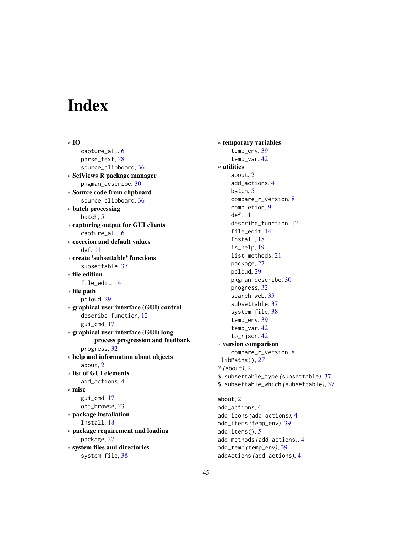# <span id="page-44-0"></span>Index

∗ IO capture\_all, [6](#page-5-0) parse\_text, [28](#page-27-0) source\_clipboard, [36](#page-35-0) ∗ SciViews R package manager pkgman\_describe, [30](#page-29-0) ∗ Source code from clipboard source\_clipboard, [36](#page-35-0) ∗ batch processing batch, [5](#page-4-0) ∗ capturing output for GUI clients capture\_all, [6](#page-5-0) ∗ coercion and default values  $def$  [11](#page-10-0) ∗ create 'subsettable' functions subsettable, [37](#page-36-0) ∗ file edition file\_edit, [14](#page-13-0) ∗ file path pcloud, [29](#page-28-0) ∗ graphical user interface (GUI) control describe\_function, [12](#page-11-0) gui\_cmd, [17](#page-16-0) ∗ graphical user interface (GUI) long process progression and feedback progress, [32](#page-31-0) ∗ help and information about objects about, [2](#page-1-0) ∗ list of GUI elements add\_actions, [4](#page-3-0) ∗ misc gui\_cmd, [17](#page-16-0) obj\_browse, [23](#page-22-0) ∗ package installation Install, [18](#page-17-0) ∗ package requirement and loading package, [27](#page-26-0) ∗ system files and directories system\_file, [38](#page-37-0)

∗ temporary variables temp\_env, [39](#page-38-0) temp\_var, [42](#page-41-0) ∗ utilities about, [2](#page-1-0) add\_actions, [4](#page-3-0) batch, [5](#page-4-0) compare\_r\_version, [8](#page-7-0) completion, [9](#page-8-0) def, [11](#page-10-0) describe\_function, [12](#page-11-0) file\_edit, [14](#page-13-0) Install, [18](#page-17-0) is\_help, [19](#page-18-0) list\_methods, [21](#page-20-0) package, [27](#page-26-0) pcloud, [29](#page-28-0) pkgman\_describe, [30](#page-29-0) progress, [32](#page-31-0) search\_web, [35](#page-34-0) subsettable, [37](#page-36-0) system\_file, [38](#page-37-0) temp\_env, [39](#page-38-0) temp\_var, [42](#page-41-0) to\_rjson, [42](#page-41-0) ∗ version comparison compare\_r\_version, [8](#page-7-0) .libPaths(), *[27](#page-26-0)* ? *(*about*)*, [2](#page-1-0) \$.subsettable\_type *(*subsettable*)*, [37](#page-36-0) \$.subsettable\_which *(*subsettable*)*, [37](#page-36-0) about, [2](#page-1-0) add\_actions, [4](#page-3-0) add\_icons *(*add\_actions*)*, [4](#page-3-0) add\_items *(*temp\_env*)*, [39](#page-38-0) add\_items(), *[5](#page-4-0)* add\_methods *(*add\_actions*)*, [4](#page-3-0)

add\_temp *(*temp\_env*)*, [39](#page-38-0) addActions *(*add\_actions*)*, [4](#page-3-0)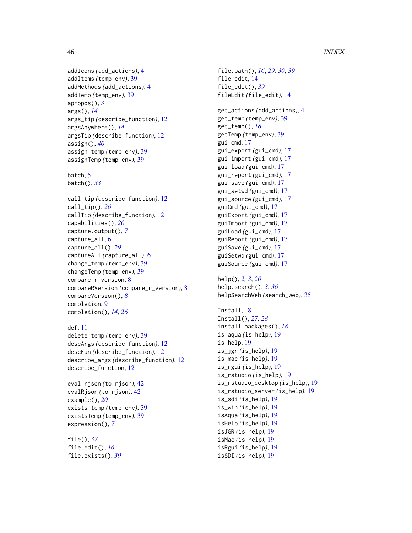# 46 INDEX

```
addIcons (add_actions), 4
addItems (temp_env), 39
addMethods (add_actions), 4
addTemp (temp_env), 39
apropos(), 3
args(), 14
args_tip (describe_function), 12
argsAnywhere(), 14
argsTip (describe_function), 12
assign(), 40
assign_temp (temp_env), 39
assignTemp (temp_env), 39
```
batch, [5](#page-4-0) batch(), *[33](#page-32-0)*

```
call_tip (describe_function), 12
call_tip(), 26
callTip (describe_function), 12
capabilities(), 20
capture.output(), 7
capture_all, 6
capture_all(), 29
captureAll (capture_all), 6
change_temp (temp_env), 39
changeTemp (temp_env), 39
compare_r_version, 8
compareRVersion (compare_r_version), 8
compareVersion(), 8
completion, 9
completion(), 14, 26
```

```
def, 11
```
delete\_temp *(*temp\_env*)*, [39](#page-38-0) descArgs *(*describe\_function*)*, [12](#page-11-0) descFun *(*describe\_function*)*, [12](#page-11-0) describe\_args *(*describe\_function*)*, [12](#page-11-0) describe\_function, [12](#page-11-0)

```
eval_rjson (to_rjson), 42
evalRjson (to_rjson), 42
example(), 20
exists_temp (temp_env), 39
existsTemp (temp_env), 39
expression(), 7
```
file(), *[37](#page-36-0)* file.edit(), *[16](#page-15-0)* file.exists(), *[39](#page-38-0)* file.path(), *[16](#page-15-0)*, *[29,](#page-28-0) [30](#page-29-0)*, *[39](#page-38-0)* file\_edit, [14](#page-13-0) file\_edit(), *[39](#page-38-0)* fileEdit *(*file\_edit*)*, [14](#page-13-0) get\_actions *(*add\_actions*)*, [4](#page-3-0) get\_temp *(*temp\_env*)*, [39](#page-38-0) get\_temp(), *[18](#page-17-0)* getTemp *(*temp\_env*)*, [39](#page-38-0) gui\_cmd, [17](#page-16-0) gui\_export *(*gui\_cmd*)*, [17](#page-16-0) gui\_import *(*gui\_cmd*)*, [17](#page-16-0) gui\_load *(*gui\_cmd*)*, [17](#page-16-0) gui\_report *(*gui\_cmd*)*, [17](#page-16-0) gui\_save *(*gui\_cmd*)*, [17](#page-16-0) gui\_setwd *(*gui\_cmd*)*, [17](#page-16-0) gui\_source *(*gui\_cmd*)*, [17](#page-16-0) guiCmd *(*gui\_cmd*)*, [17](#page-16-0) guiExport *(*gui\_cmd*)*, [17](#page-16-0) guiImport *(*gui\_cmd*)*, [17](#page-16-0) guiLoad *(*gui\_cmd*)*, [17](#page-16-0) guiReport *(*gui\_cmd*)*, [17](#page-16-0) guiSave *(*gui\_cmd*)*, [17](#page-16-0) guiSetwd *(*gui\_cmd*)*, [17](#page-16-0) guiSource *(*gui\_cmd*)*, [17](#page-16-0) help(), *[2,](#page-1-0) [3](#page-2-0)*, *[20](#page-19-0)* help.search(), *[3](#page-2-0)*, *[36](#page-35-0)* helpSearchWeb *(*search\_web*)*, [35](#page-34-0) Install, [18](#page-17-0) Install(), *[27,](#page-26-0) [28](#page-27-0)* install.packages(), *[18](#page-17-0)* is\_aqua *(*is\_help*)*, [19](#page-18-0) is\_help, [19](#page-18-0) is\_jgr *(*is\_help*)*, [19](#page-18-0) is\_mac *(*is\_help*)*, [19](#page-18-0) is\_rgui *(*is\_help*)*, [19](#page-18-0) is\_rstudio *(*is\_help*)*, [19](#page-18-0) is\_rstudio\_desktop *(*is\_help*)*, [19](#page-18-0) is\_rstudio\_server *(*is\_help*)*, [19](#page-18-0) is\_sdi *(*is\_help*)*, [19](#page-18-0) is\_win *(*is\_help*)*, [19](#page-18-0) isAqua *(*is\_help*)*, [19](#page-18-0) isHelp *(*is\_help*)*, [19](#page-18-0) isJGR *(*is\_help*)*, [19](#page-18-0) isMac *(*is\_help*)*, [19](#page-18-0) isRgui *(*is\_help*)*, [19](#page-18-0)

isSDI *(*is\_help*)*, [19](#page-18-0)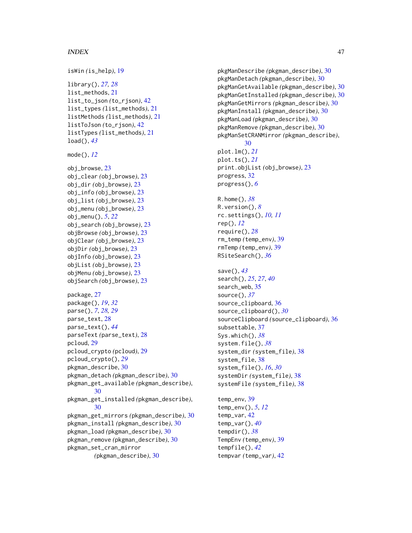#### INDEX 47

```
isWin (is_help), 19
library(), 27, 28
list_methods, 21
list_to_json (to_rjson), 42
list_types (list_methods), 21
listMethods (list_methods), 21
listToJson (to_rjson), 42
listTypes (list_methods), 21
load(), 43
mode(), 12
obj_browse, 23
obj_clear (obj_browse), 23
obj_dir (obj_browse), 23
obj_info (obj_browse), 23
obj_list (obj_browse), 23
obj_menu (obj_browse), 23
obj_menu(), 5, 22
obj_search (obj_browse), 23
objBrowse (obj_browse), 23
objClear (obj_browse), 23
objDir (obj_browse), 23
objInfo (obj_browse), 23
objList (obj_browse), 23
objMenu (obj_browse), 23
objSearch (obj_browse), 23
package, 27
package(), 19, 32
parse(), 7, 28, 29
parse_text, 28
parse_text(), 44
parseText (parse_text), 28
pcloud, 29
pcloud_crypto (pcloud), 29
pcloud_crypto(), 29
pkgman_describe, 30
pkgman_detach (pkgman_describe), 30
pkgman_get_available (pkgman_describe),
        30
pkgman_get_installed (pkgman_describe),
        30
pkgman_get_mirrors (pkgman_describe), 30
pkgman_install (pkgman_describe), 30
pkgman_load (pkgman_describe), 30
pkgman_remove (pkgman_describe), 30
pkgman_set_cran_mirror
        (pkgman_describe), 30
```
pkgManDescribe *(*pkgman\_describe*)*, [30](#page-29-0) pkgManDetach *(*pkgman\_describe*)*, [30](#page-29-0) pkgManGetAvailable *(*pkgman\_describe*)*, [30](#page-29-0) pkgManGetInstalled *(*pkgman\_describe*)*, [30](#page-29-0) pkgManGetMirrors *(*pkgman\_describe*)*, [30](#page-29-0) pkgManInstall *(*pkgman\_describe*)*, [30](#page-29-0) pkgManLoad *(*pkgman\_describe*)*, [30](#page-29-0) pkgManRemove *(*pkgman\_describe*)*, [30](#page-29-0) pkgManSetCRANMirror *(*pkgman\_describe*)*, [30](#page-29-0) plot.lm(), *[21](#page-20-0)* plot.ts(), *[21](#page-20-0)* print.objList *(*obj\_browse*)*, [23](#page-22-0) progress, [32](#page-31-0) progress(), *[6](#page-5-0)* R.home(), *[38](#page-37-0)* R.version(), *[8](#page-7-0)* rc.settings(), *[10,](#page-9-0) [11](#page-10-0)* rep(), *[12](#page-11-0)* require(), *[28](#page-27-0)* rm\_temp *(*temp\_env*)*, [39](#page-38-0) rmTemp *(*temp\_env*)*, [39](#page-38-0) RSiteSearch(), *[36](#page-35-0)* save(), *[43](#page-42-0)* search(), *[25](#page-24-0)*, *[27](#page-26-0)*, *[40](#page-39-0)* search\_web, [35](#page-34-0) source(), *[37](#page-36-0)* source\_clipboard, [36](#page-35-0) source\_clipboard(), *[30](#page-29-0)* sourceClipboard *(*source\_clipboard*)*, [36](#page-35-0) subsettable, [37](#page-36-0) Sys.which(), *[38](#page-37-0)* system.file(), *[38](#page-37-0)* system\_dir *(*system\_file*)*, [38](#page-37-0) system\_file, [38](#page-37-0) system\_file(), *[16](#page-15-0)*, *[30](#page-29-0)* systemDir *(*system\_file*)*, [38](#page-37-0) systemFile *(*system\_file*)*, [38](#page-37-0) temp\_env, [39](#page-38-0) temp\_env(), *[5](#page-4-0)*, *[12](#page-11-0)* temp\_var, [42](#page-41-0) temp\_var(), *[40](#page-39-0)* tempdir(), *[38](#page-37-0)* TempEnv *(*temp\_env*)*, [39](#page-38-0) tempfile(), *[42](#page-41-0)*

tempvar *(*temp\_var*)*, [42](#page-41-0)